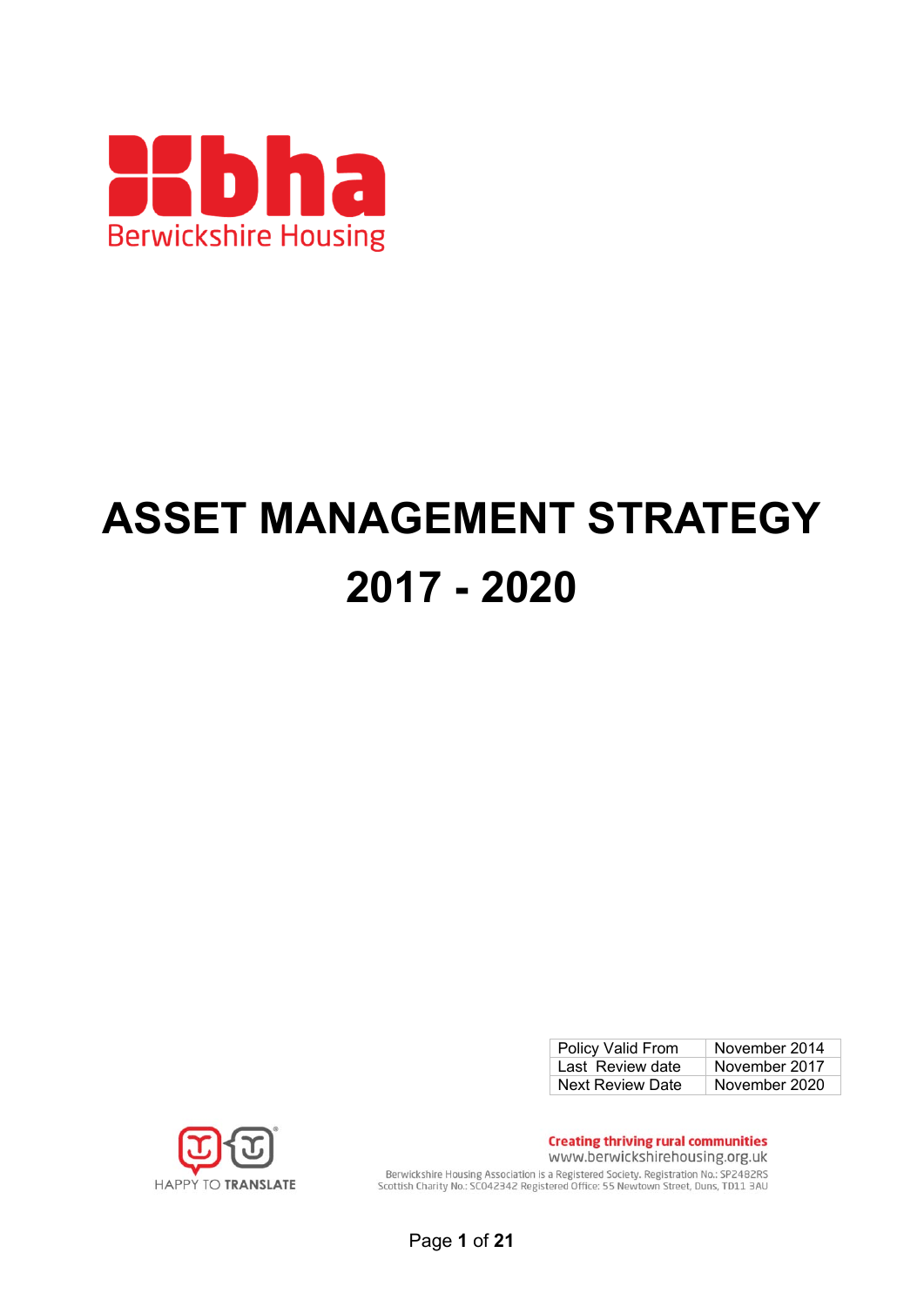

# **ASSET MANAGEMENT STRATEGY 2017 - 2020**

| Policy Valid From       | November 2014 |
|-------------------------|---------------|
| Last Review date        | November 2017 |
| <b>Next Review Date</b> | November 2020 |



**Creating thriving rural communities** www.berwickshirehousing.org.uk

Berwickshire Housing Association is a Registered Society. Registration No.: SP2482RS Scottish Charity No.: SCO42342 Registered Office: 55 Newtown Street, Duns, TD11 3AU

Page **1** of **21**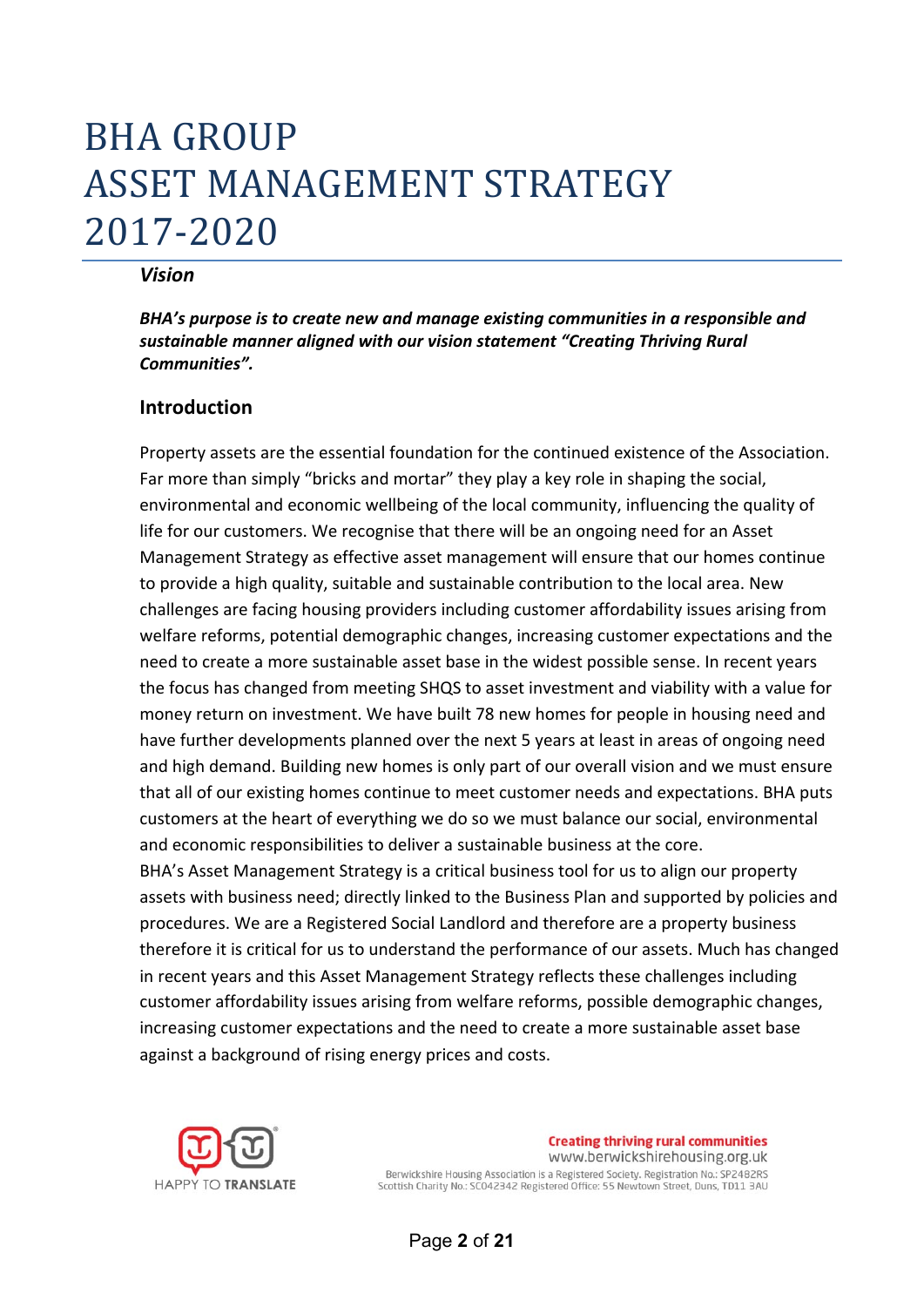# BHA GROUP ASSET MANAGEMENT STRATEGY 2017-2020

#### *Vision*

*BHA's purpose is to create new and manage existing communities in a responsible and sustainable manner aligned with our vision statement "Creating Thriving Rural Communities".* 

#### **Introduction**

Property assets are the essential foundation for the continued existence of the Association. Far more than simply "bricks and mortar" they play a key role in shaping the social, environmental and economic wellbeing of the local community, influencing the quality of life for our customers. We recognise that there will be an ongoing need for an Asset Management Strategy as effective asset management will ensure that our homes continue to provide a high quality, suitable and sustainable contribution to the local area. New challenges are facing housing providers including customer affordability issues arising from welfare reforms, potential demographic changes, increasing customer expectations and the need to create a more sustainable asset base in the widest possible sense. In recent years the focus has changed from meeting SHQS to asset investment and viability with a value for money return on investment. We have built 78 new homes for people in housing need and have further developments planned over the next 5 years at least in areas of ongoing need and high demand. Building new homes is only part of our overall vision and we must ensure that all of our existing homes continue to meet customer needs and expectations. BHA puts customers at the heart of everything we do so we must balance our social, environmental and economic responsibilities to deliver a sustainable business at the core. BHA's Asset Management Strategy is a critical business tool for us to align our property

assets with business need; directly linked to the Business Plan and supported by policies and procedures. We are a Registered Social Landlord and therefore are a property business therefore it is critical for us to understand the performance of our assets. Much has changed in recent years and this Asset Management Strategy reflects these challenges including customer affordability issues arising from welfare reforms, possible demographic changes, increasing customer expectations and the need to create a more sustainable asset base against a background of rising energy prices and costs.



**Creating thriving rural communities** www.berwickshirehousing.org.uk Berwickshire Housing Association is a Registered Society, Registration No.: SP2482RS Scottish Charity No.: SC042342 Registered Office: 55 Newtown Street, Duns, TD11 3AU

Page **2** of **21**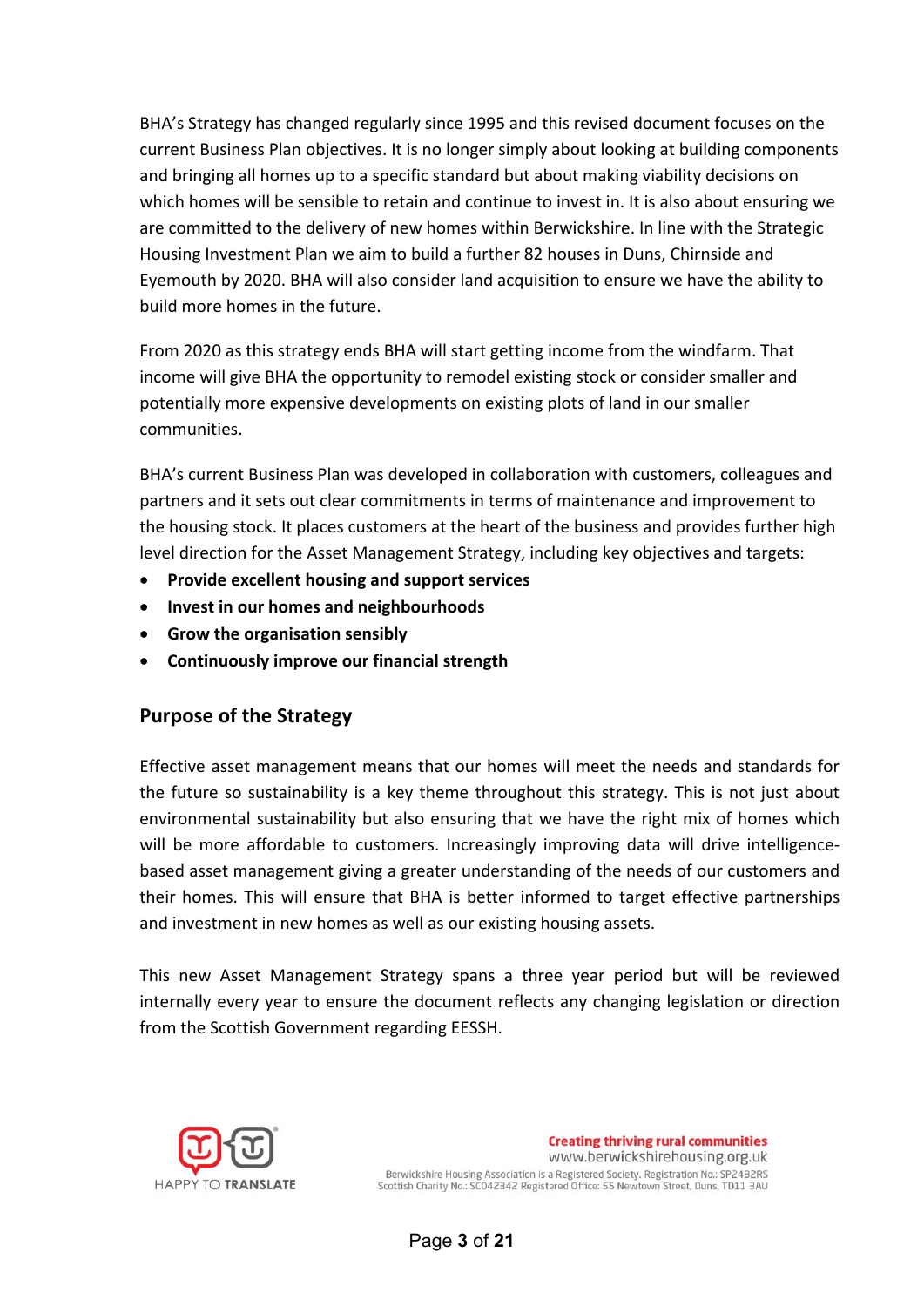BHA's Strategy has changed regularly since 1995 and this revised document focuses on the current Business Plan objectives. It is no longer simply about looking at building components and bringing all homes up to a specific standard but about making viability decisions on which homes will be sensible to retain and continue to invest in. It is also about ensuring we are committed to the delivery of new homes within Berwickshire. In line with the Strategic Housing Investment Plan we aim to build a further 82 houses in Duns, Chirnside and Eyemouth by 2020. BHA will also consider land acquisition to ensure we have the ability to build more homes in the future.

From 2020 as this strategy ends BHA will start getting income from the windfarm. That income will give BHA the opportunity to remodel existing stock or consider smaller and potentially more expensive developments on existing plots of land in our smaller communities.

BHA's current Business Plan was developed in collaboration with customers, colleagues and partners and it sets out clear commitments in terms of maintenance and improvement to the housing stock. It places customers at the heart of the business and provides further high level direction for the Asset Management Strategy, including key objectives and targets:

- **Provide excellent housing and support services**
- **Invest in our homes and neighbourhoods**
- **Grow the organisation sensibly**
- **Continuously improve our financial strength**

# **Purpose of the Strategy**

Effective asset management means that our homes will meet the needs and standards for the future so sustainability is a key theme throughout this strategy. This is not just about environmental sustainability but also ensuring that we have the right mix of homes which will be more affordable to customers. Increasingly improving data will drive intelligencebased asset management giving a greater understanding of the needs of our customers and their homes. This will ensure that BHA is better informed to target effective partnerships and investment in new homes as well as our existing housing assets.

This new Asset Management Strategy spans a three year period but will be reviewed internally every year to ensure the document reflects any changing legislation or direction from the Scottish Government regarding EESSH.



**Creating thriving rural communities** www.berwickshirehousing.org.uk Berwickshire Housing Association is a Registered Society, Registration No.: SP2482RS Scottish Charity No.: SCO42342 Registered Office: 55 Newtown Street, Duns, TD11 3AU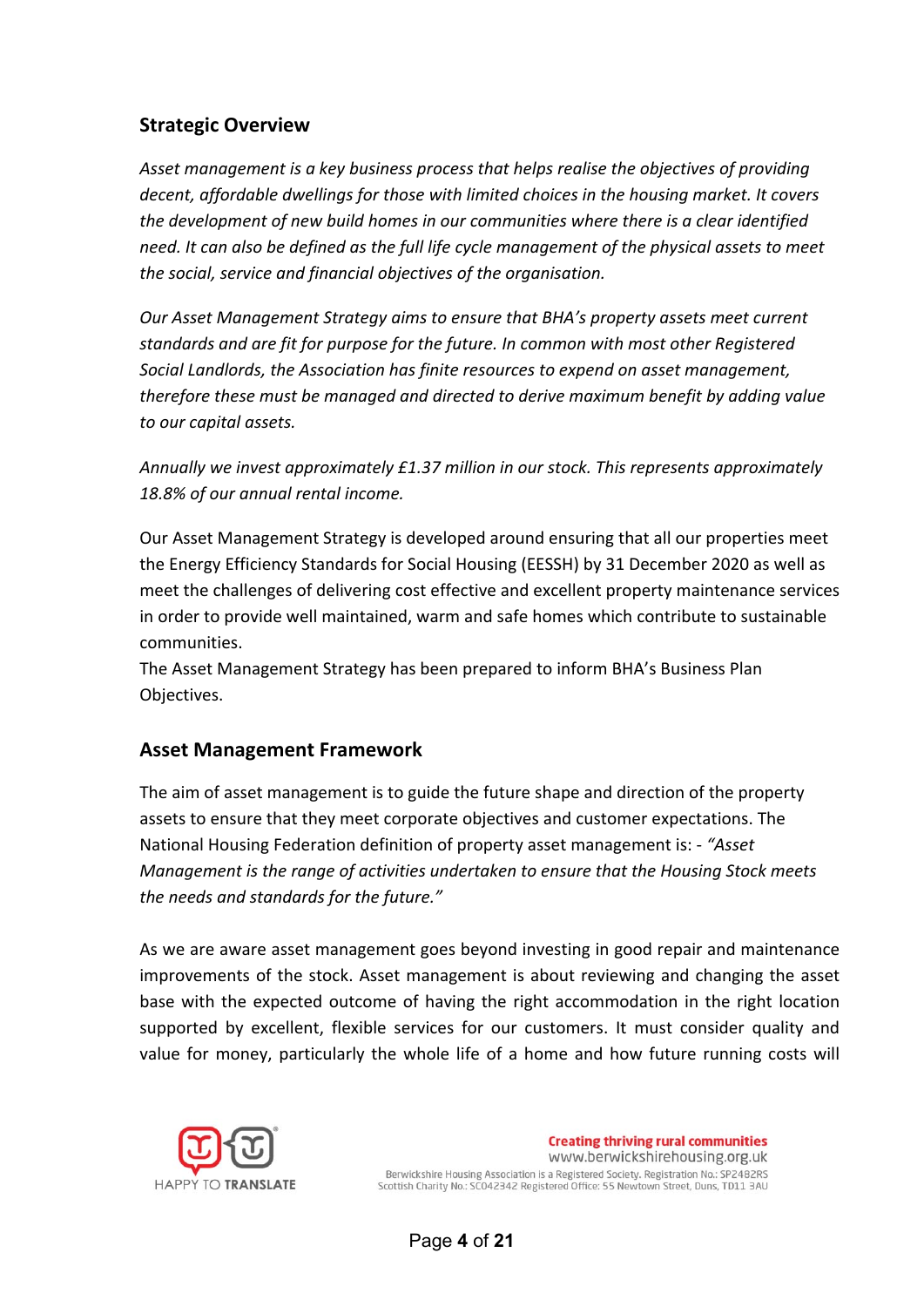# **Strategic Overview**

*Asset management is a key business process that helps realise the objectives of providing decent, affordable dwellings for those with limited choices in the housing market. It covers the development of new build homes in our communities where there is a clear identified need. It can also be defined as the full life cycle management of the physical assets to meet the social, service and financial objectives of the organisation.* 

*Our Asset Management Strategy aims to ensure that BHA's property assets meet current standards and are fit for purpose for the future. In common with most other Registered Social Landlords, the Association has finite resources to expend on asset management, therefore these must be managed and directed to derive maximum benefit by adding value to our capital assets.* 

*Annually we invest approximately £1.37 million in our stock. This represents approximately 18.8% of our annual rental income.* 

Our Asset Management Strategy is developed around ensuring that all our properties meet the Energy Efficiency Standards for Social Housing (EESSH) by 31 December 2020 as well as meet the challenges of delivering cost effective and excellent property maintenance services in order to provide well maintained, warm and safe homes which contribute to sustainable communities.

The Asset Management Strategy has been prepared to inform BHA's Business Plan Objectives.

### **Asset Management Framework**

The aim of asset management is to guide the future shape and direction of the property assets to ensure that they meet corporate objectives and customer expectations. The National Housing Federation definition of property asset management is: ‐ *"Asset Management is the range of activities undertaken to ensure that the Housing Stock meets the needs and standards for the future."* 

As we are aware asset management goes beyond investing in good repair and maintenance improvements of the stock. Asset management is about reviewing and changing the asset base with the expected outcome of having the right accommodation in the right location supported by excellent, flexible services for our customers. It must consider quality and value for money, particularly the whole life of a home and how future running costs will



**Creating thriving rural communities** www.berwickshirehousing.org.uk Berwickshire Housing Association is a Registered Society, Registration No.: SP2482RS Scottish Charity No.: SCO42342 Registered Office: 55 Newtown Street, Duns, TD11 3AU

Page **4** of **21**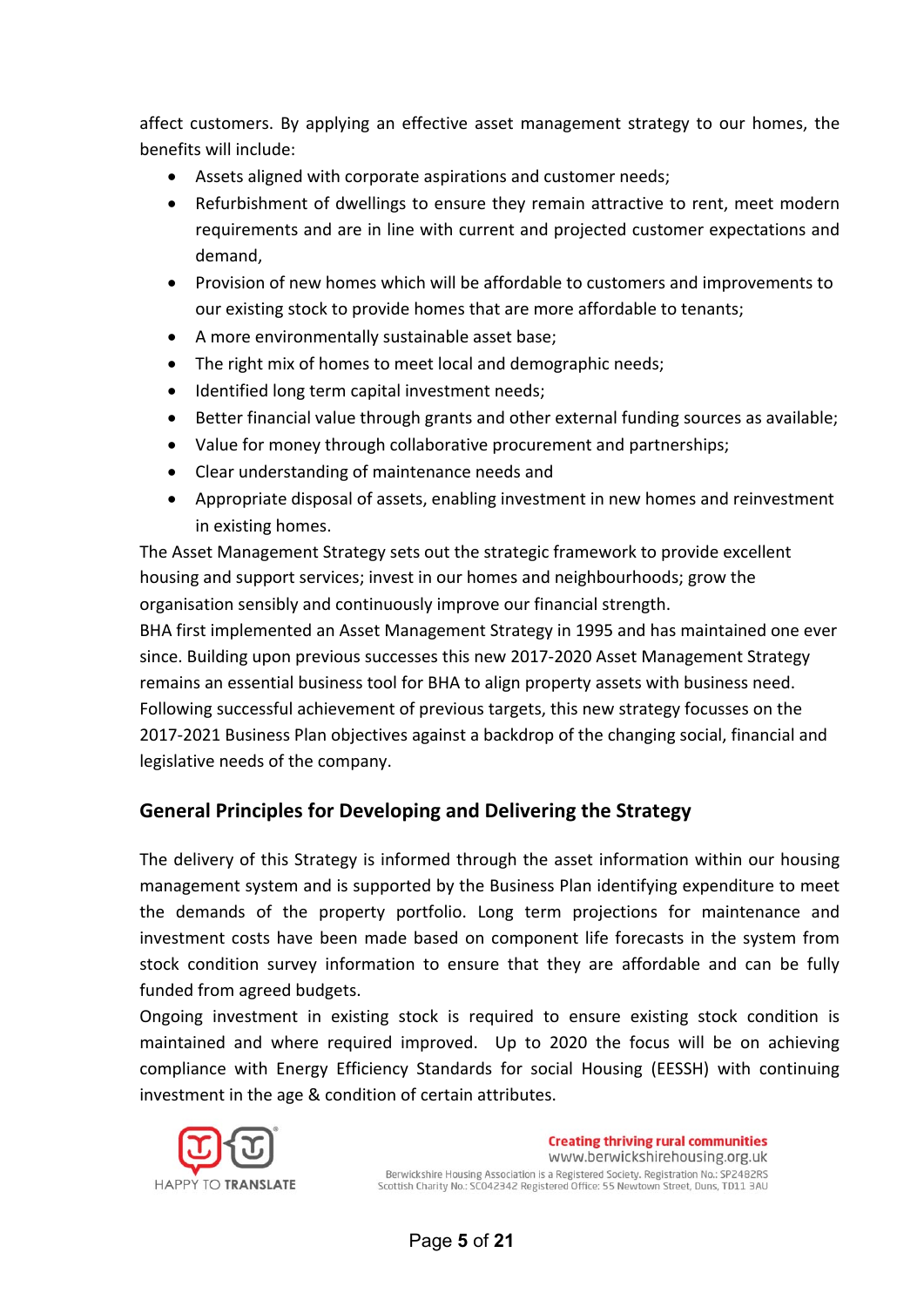affect customers. By applying an effective asset management strategy to our homes, the benefits will include:

- Assets aligned with corporate aspirations and customer needs;
- Refurbishment of dwellings to ensure they remain attractive to rent, meet modern requirements and are in line with current and projected customer expectations and demand,
- Provision of new homes which will be affordable to customers and improvements to our existing stock to provide homes that are more affordable to tenants;
- A more environmentally sustainable asset base;
- The right mix of homes to meet local and demographic needs;
- Identified long term capital investment needs;
- Better financial value through grants and other external funding sources as available;
- Value for money through collaborative procurement and partnerships;
- Clear understanding of maintenance needs and
- Appropriate disposal of assets, enabling investment in new homes and reinvestment in existing homes.

The Asset Management Strategy sets out the strategic framework to provide excellent housing and support services; invest in our homes and neighbourhoods; grow the organisation sensibly and continuously improve our financial strength.

BHA first implemented an Asset Management Strategy in 1995 and has maintained one ever since. Building upon previous successes this new 2017‐2020 Asset Management Strategy remains an essential business tool for BHA to align property assets with business need. Following successful achievement of previous targets, this new strategy focusses on the 2017‐2021 Business Plan objectives against a backdrop of the changing social, financial and legislative needs of the company.

# **General Principles for Developing and Delivering the Strategy**

The delivery of this Strategy is informed through the asset information within our housing management system and is supported by the Business Plan identifying expenditure to meet the demands of the property portfolio. Long term projections for maintenance and investment costs have been made based on component life forecasts in the system from stock condition survey information to ensure that they are affordable and can be fully funded from agreed budgets.

Ongoing investment in existing stock is required to ensure existing stock condition is maintained and where required improved. Up to 2020 the focus will be on achieving compliance with Energy Efficiency Standards for social Housing (EESSH) with continuing investment in the age & condition of certain attributes.



**Creating thriving rural communities** www.berwickshirehousing.org.uk Berwickshire Housing Association is a Registered Society, Registration No.: SP2482RS Scottish Charity No.: SC042342 Registered Office: 55 Newtown Street, Duns, TD11 3AU

Page **5** of **21**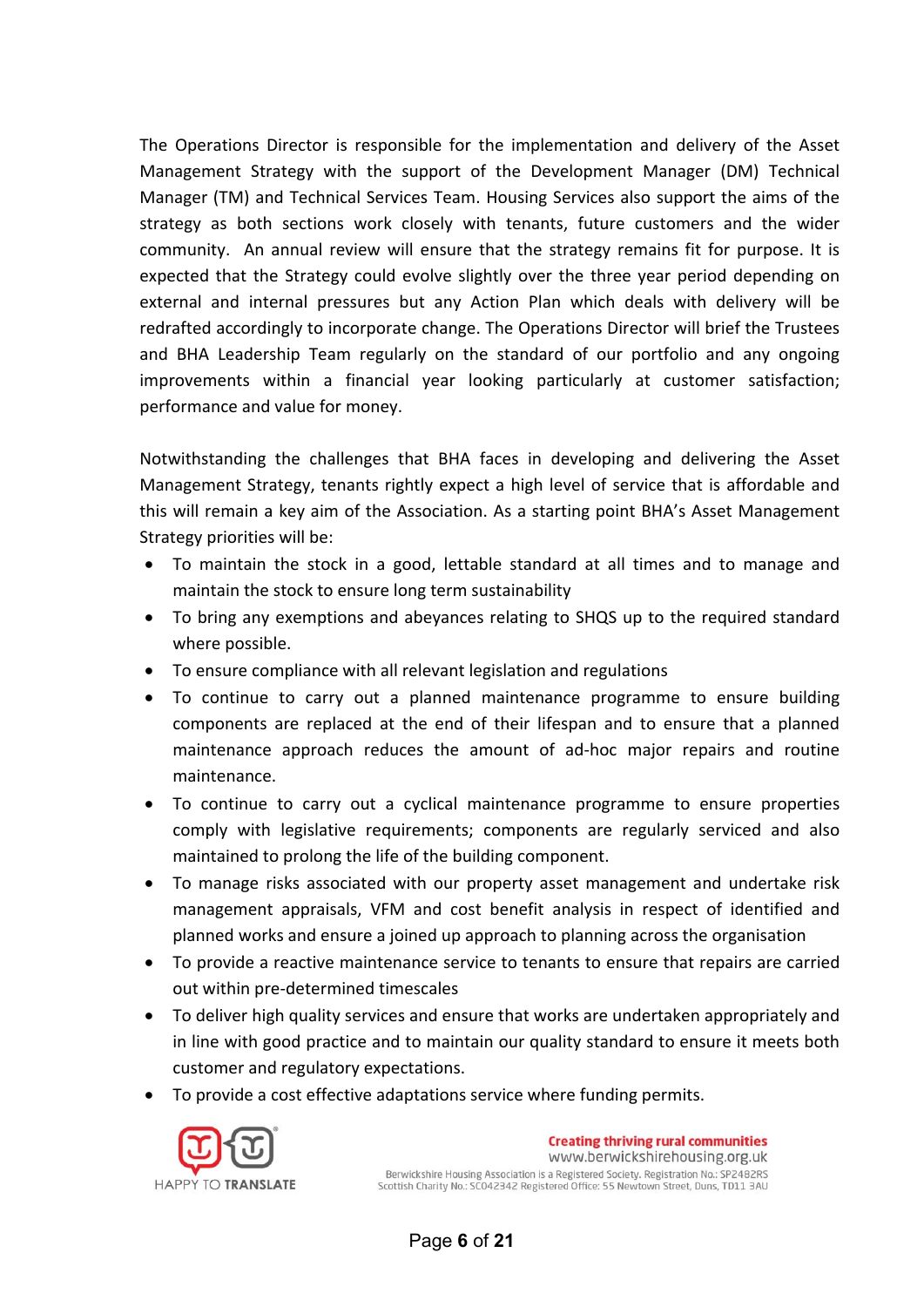The Operations Director is responsible for the implementation and delivery of the Asset Management Strategy with the support of the Development Manager (DM) Technical Manager (TM) and Technical Services Team. Housing Services also support the aims of the strategy as both sections work closely with tenants, future customers and the wider community. An annual review will ensure that the strategy remains fit for purpose. It is expected that the Strategy could evolve slightly over the three year period depending on external and internal pressures but any Action Plan which deals with delivery will be redrafted accordingly to incorporate change. The Operations Director will brief the Trustees and BHA Leadership Team regularly on the standard of our portfolio and any ongoing improvements within a financial year looking particularly at customer satisfaction; performance and value for money.

Notwithstanding the challenges that BHA faces in developing and delivering the Asset Management Strategy, tenants rightly expect a high level of service that is affordable and this will remain a key aim of the Association. As a starting point BHA's Asset Management Strategy priorities will be:

- To maintain the stock in a good, lettable standard at all times and to manage and maintain the stock to ensure long term sustainability
- To bring any exemptions and abeyances relating to SHQS up to the required standard where possible.
- To ensure compliance with all relevant legislation and regulations
- To continue to carry out a planned maintenance programme to ensure building components are replaced at the end of their lifespan and to ensure that a planned maintenance approach reduces the amount of ad-hoc major repairs and routine maintenance.
- To continue to carry out a cyclical maintenance programme to ensure properties comply with legislative requirements; components are regularly serviced and also maintained to prolong the life of the building component.
- To manage risks associated with our property asset management and undertake risk management appraisals, VFM and cost benefit analysis in respect of identified and planned works and ensure a joined up approach to planning across the organisation
- To provide a reactive maintenance service to tenants to ensure that repairs are carried out within pre‐determined timescales
- To deliver high quality services and ensure that works are undertaken appropriately and in line with good practice and to maintain our quality standard to ensure it meets both customer and regulatory expectations.
- To provide a cost effective adaptations service where funding permits.

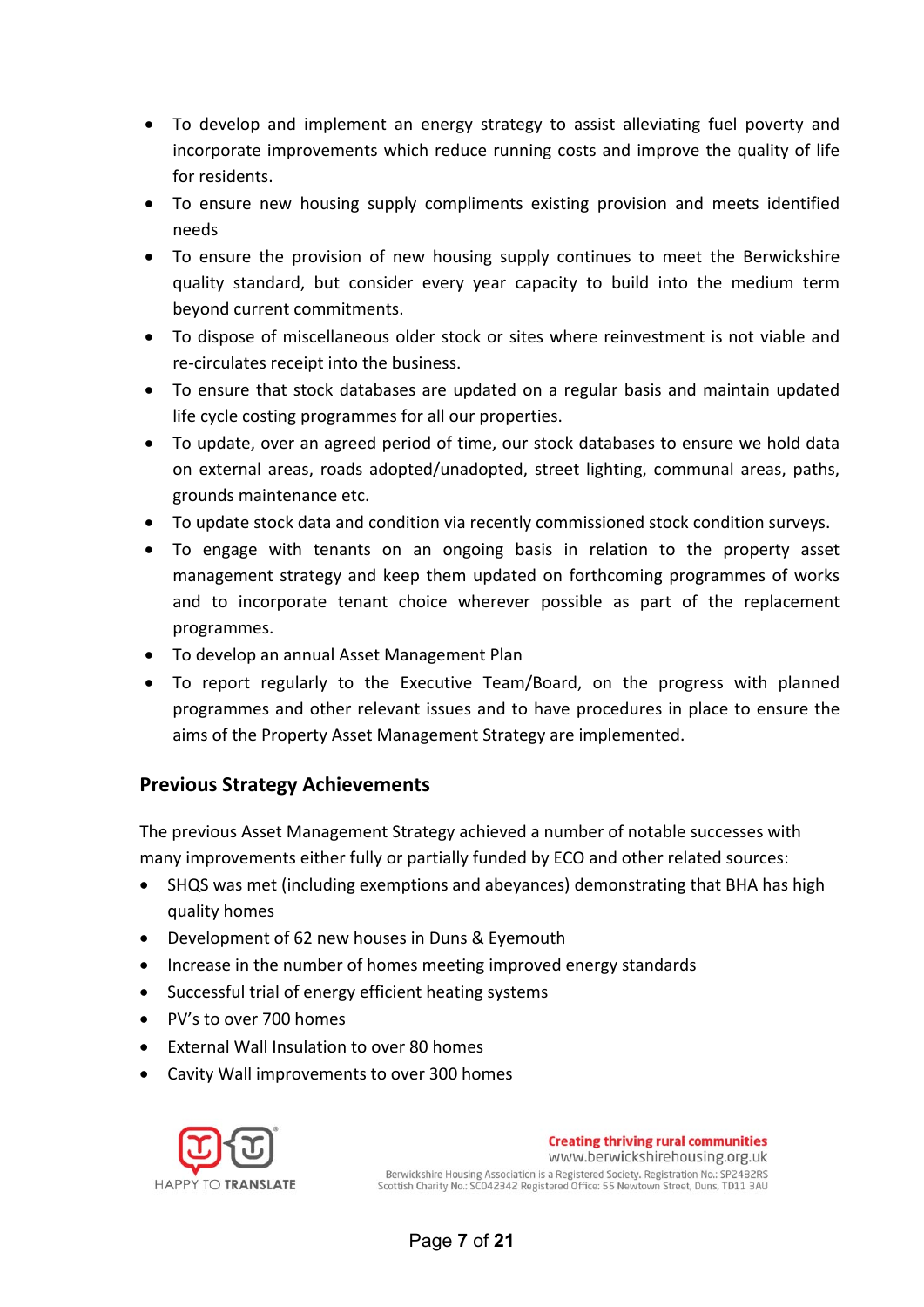- To develop and implement an energy strategy to assist alleviating fuel poverty and incorporate improvements which reduce running costs and improve the quality of life for residents.
- To ensure new housing supply compliments existing provision and meets identified needs
- To ensure the provision of new housing supply continues to meet the Berwickshire quality standard, but consider every year capacity to build into the medium term beyond current commitments.
- To dispose of miscellaneous older stock or sites where reinvestment is not viable and re‐circulates receipt into the business.
- To ensure that stock databases are updated on a regular basis and maintain updated life cycle costing programmes for all our properties.
- To update, over an agreed period of time, our stock databases to ensure we hold data on external areas, roads adopted/unadopted, street lighting, communal areas, paths, grounds maintenance etc.
- To update stock data and condition via recently commissioned stock condition surveys.
- To engage with tenants on an ongoing basis in relation to the property asset management strategy and keep them updated on forthcoming programmes of works and to incorporate tenant choice wherever possible as part of the replacement programmes.
- To develop an annual Asset Management Plan
- To report regularly to the Executive Team/Board, on the progress with planned programmes and other relevant issues and to have procedures in place to ensure the aims of the Property Asset Management Strategy are implemented.

### **Previous Strategy Achievements**

The previous Asset Management Strategy achieved a number of notable successes with many improvements either fully or partially funded by ECO and other related sources:

- SHQS was met (including exemptions and abeyances) demonstrating that BHA has high quality homes
- Development of 62 new houses in Duns & Eyemouth
- Increase in the number of homes meeting improved energy standards
- Successful trial of energy efficient heating systems
- PV's to over 700 homes
- External Wall Insulation to over 80 homes
- Cavity Wall improvements to over 300 homes



**Creating thriving rural communities** www.berwickshirehousing.org.uk Berwickshire Housing Association is a Registered Society, Registration No.: SP2482RS Scottish Charity No.: SC042342 Registered Office: 55 Newtown Street, Duns, TD11 3AU

Page **7** of **21**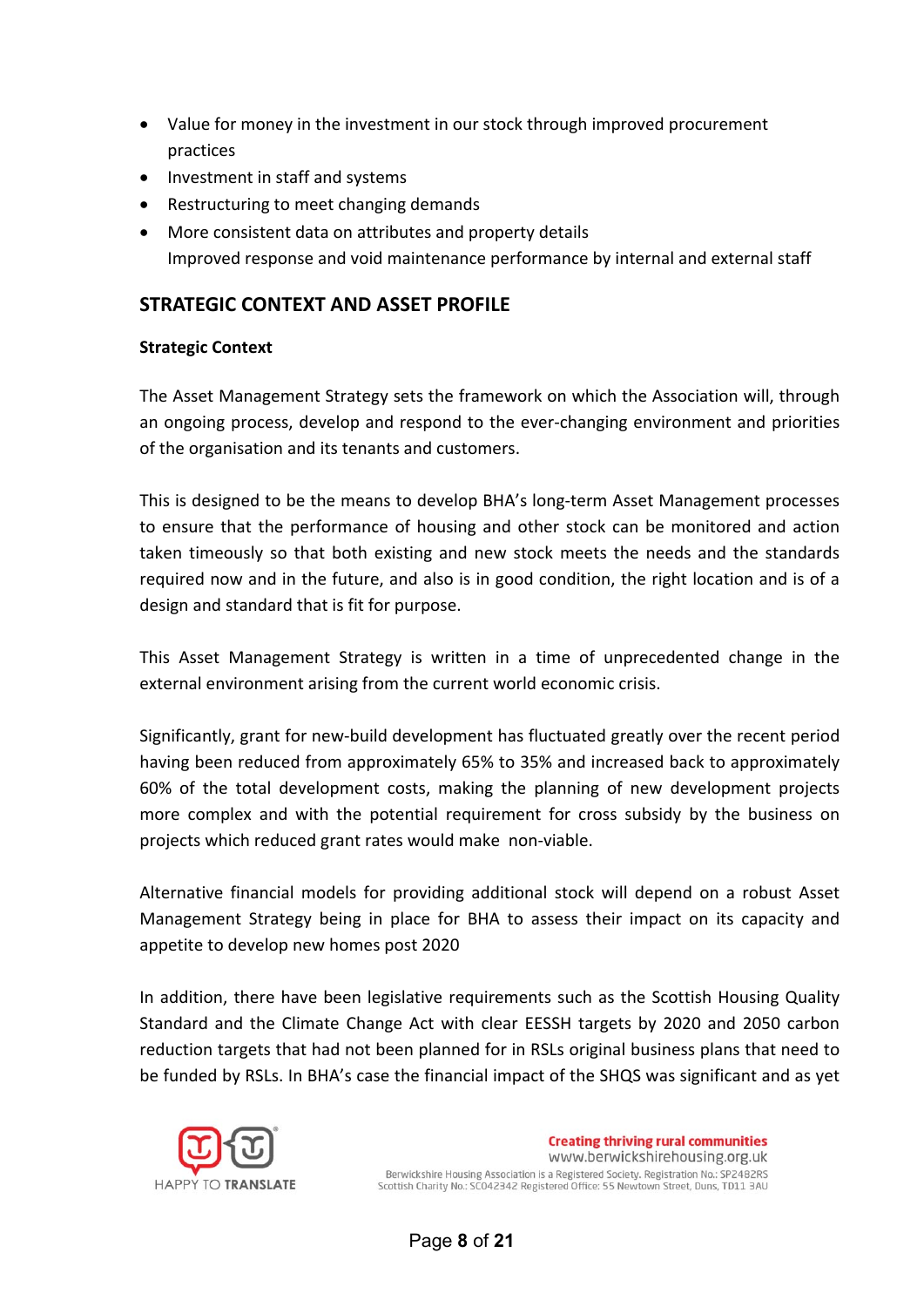- Value for money in the investment in our stock through improved procurement practices
- Investment in staff and systems
- Restructuring to meet changing demands
- More consistent data on attributes and property details Improved response and void maintenance performance by internal and external staff

# **STRATEGIC CONTEXT AND ASSET PROFILE**

#### **Strategic Context**

The Asset Management Strategy sets the framework on which the Association will, through an ongoing process, develop and respond to the ever-changing environment and priorities of the organisation and its tenants and customers.

This is designed to be the means to develop BHA's long‐term Asset Management processes to ensure that the performance of housing and other stock can be monitored and action taken timeously so that both existing and new stock meets the needs and the standards required now and in the future, and also is in good condition, the right location and is of a design and standard that is fit for purpose.

This Asset Management Strategy is written in a time of unprecedented change in the external environment arising from the current world economic crisis.

Significantly, grant for new‐build development has fluctuated greatly over the recent period having been reduced from approximately 65% to 35% and increased back to approximately 60% of the total development costs, making the planning of new development projects more complex and with the potential requirement for cross subsidy by the business on projects which reduced grant rates would make non‐viable.

Alternative financial models for providing additional stock will depend on a robust Asset Management Strategy being in place for BHA to assess their impact on its capacity and appetite to develop new homes post 2020

In addition, there have been legislative requirements such as the Scottish Housing Quality Standard and the Climate Change Act with clear EESSH targets by 2020 and 2050 carbon reduction targets that had not been planned for in RSLs original business plans that need to be funded by RSLs. In BHA's case the financial impact of the SHQS was significant and as yet



**Creating thriving rural communities** www.berwickshirehousing.org.uk Berwickshire Housing Association is a Registered Society, Registration No.: SP2482RS Scottish Charity No.: SC042342 Registered Office: 55 Newtown Street, Duns, TD11 3AU

Page **8** of **21**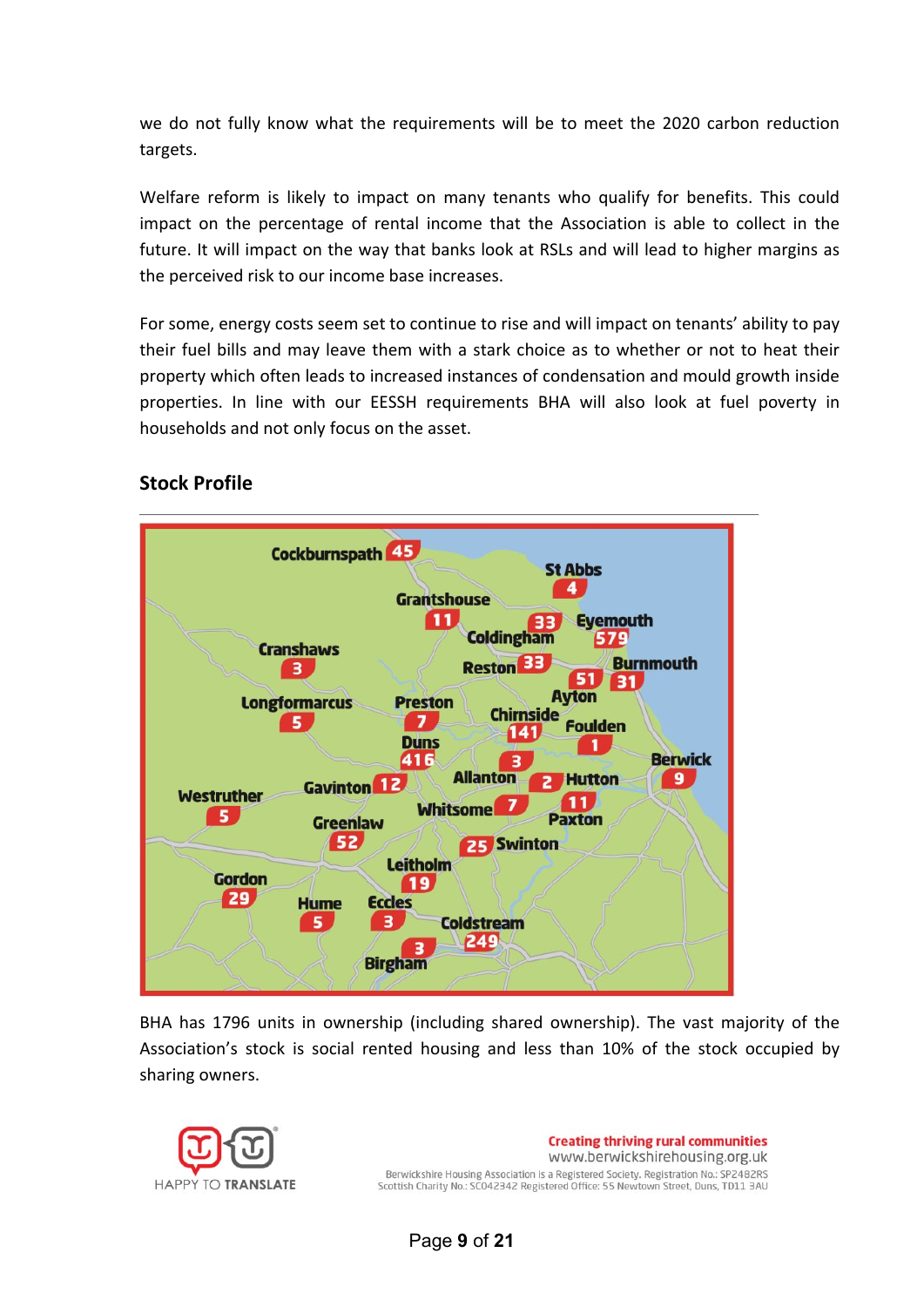we do not fully know what the requirements will be to meet the 2020 carbon reduction targets.

Welfare reform is likely to impact on many tenants who qualify for benefits. This could impact on the percentage of rental income that the Association is able to collect in the future. It will impact on the way that banks look at RSLs and will lead to higher margins as the perceived risk to our income base increases.

For some, energy costs seem set to continue to rise and will impact on tenants' ability to pay their fuel bills and may leave them with a stark choice as to whether or not to heat their property which often leads to increased instances of condensation and mould growth inside properties. In line with our EESSH requirements BHA will also look at fuel poverty in households and not only focus on the asset.



# **Stock Profile**

BHA has 1796 units in ownership (including shared ownership). The vast majority of the Association's stock is social rented housing and less than 10% of the stock occupied by sharing owners.



**Creating thriving rural communities** www.berwickshirehousing.org.uk Berwickshire Housing Association is a Registered Society, Registration No.: SP2482RS Scottish Charity No.: SC042342 Registered Office: 55 Newtown Street, Duns, TD11 3AU

Page **9** of **21**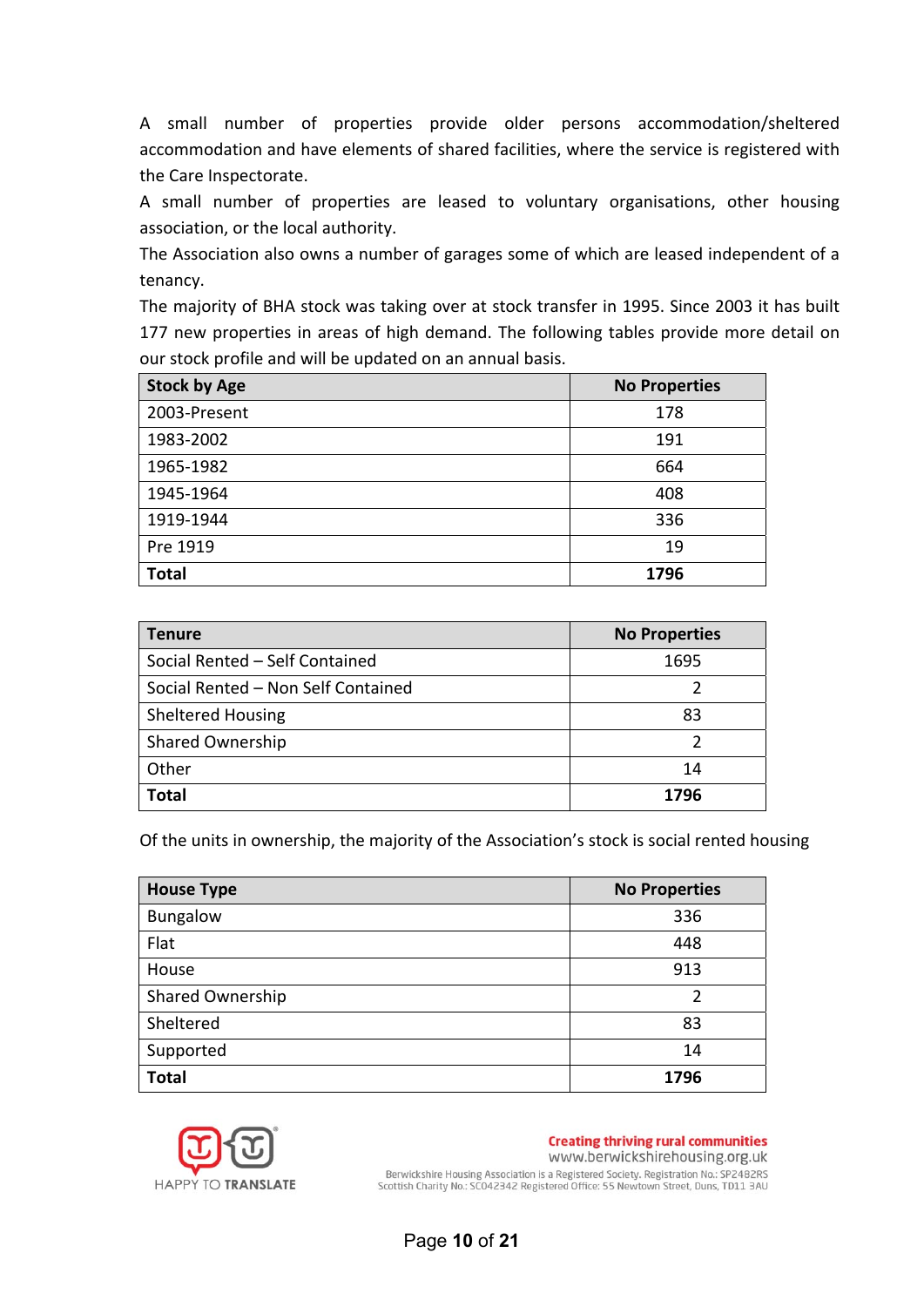A small number of properties provide older persons accommodation/sheltered accommodation and have elements of shared facilities, where the service is registered with the Care Inspectorate.

A small number of properties are leased to voluntary organisations, other housing association, or the local authority.

The Association also owns a number of garages some of which are leased independent of a tenancy.

The majority of BHA stock was taking over at stock transfer in 1995. Since 2003 it has built 177 new properties in areas of high demand. The following tables provide more detail on our stock profile and will be updated on an annual basis.

| <b>Stock by Age</b><br><b>No Properties</b> |      |  |  |
|---------------------------------------------|------|--|--|
| 2003-Present                                | 178  |  |  |
| 1983-2002                                   | 191  |  |  |
| 1965-1982                                   | 664  |  |  |
| 1945-1964                                   | 408  |  |  |
| 1919-1944                                   | 336  |  |  |
| Pre 1919                                    | 19   |  |  |
| <b>Total</b>                                | 1796 |  |  |

| <b>Tenure</b>                      | <b>No Properties</b> |  |
|------------------------------------|----------------------|--|
| Social Rented - Self Contained     | 1695                 |  |
| Social Rented - Non Self Contained |                      |  |
| <b>Sheltered Housing</b>           | 83                   |  |
| <b>Shared Ownership</b>            |                      |  |
| Other                              | 14                   |  |
| <b>Total</b>                       | 1796                 |  |

Of the units in ownership, the majority of the Association's stock is social rented housing

| <b>House Type</b> | <b>No Properties</b> |  |
|-------------------|----------------------|--|
| <b>Bungalow</b>   | 336                  |  |
| Flat              | 448                  |  |
| House             | 913                  |  |
| Shared Ownership  | 2                    |  |
| Sheltered         | 83                   |  |
| Supported         | 14                   |  |
| <b>Total</b>      | 1796                 |  |



**Creating thriving rural communities** www.berwickshirehousing.org.uk

Berwickshire Housing Association is a Registered Society, Registration No.: SP2482RS Scottish Charity No.: SCO42342 Registered Office: 55 Newtown Street, Duns, TD11 3AU

Page **10** of **21**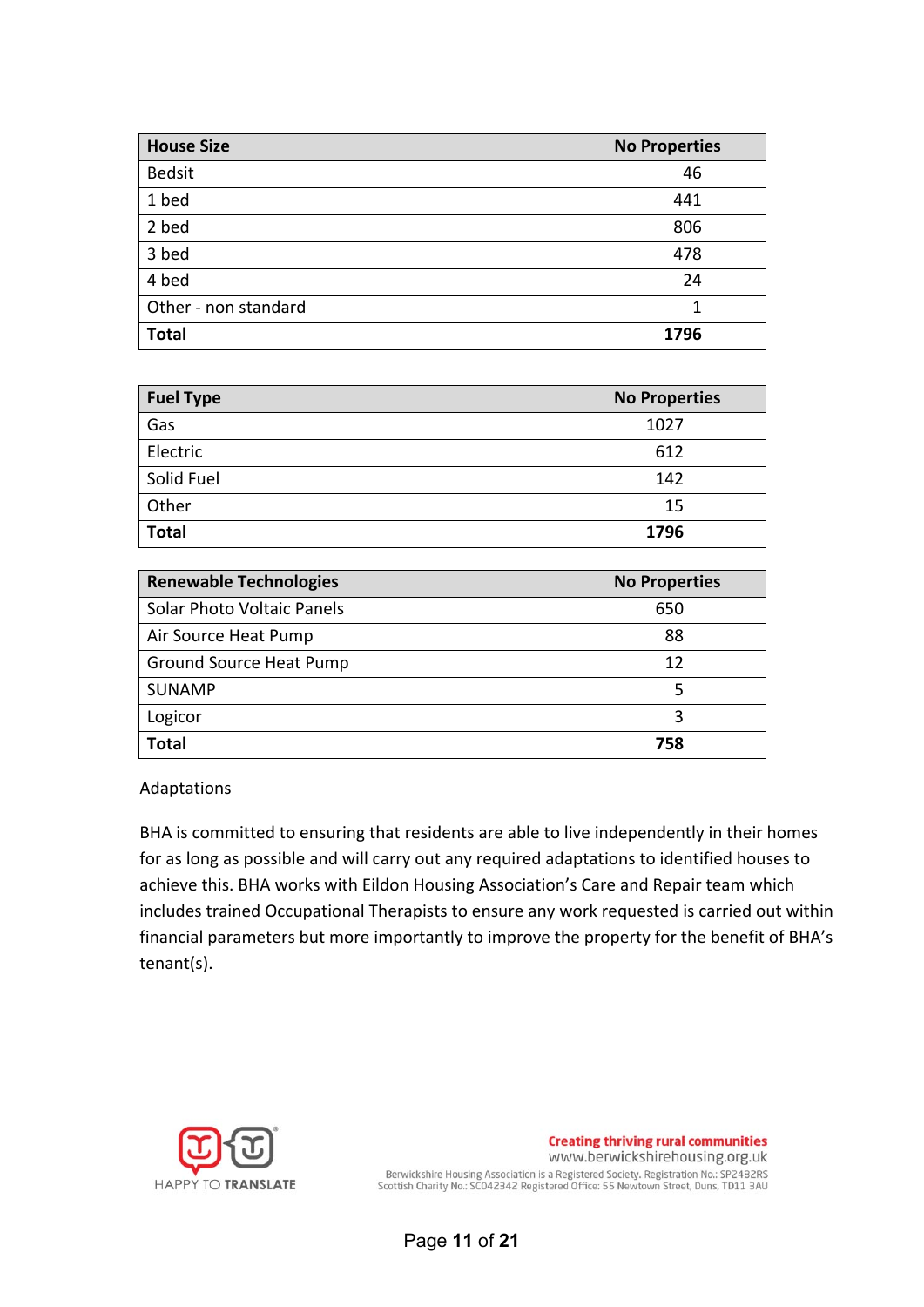| <b>House Size</b>    | <b>No Properties</b> |
|----------------------|----------------------|
| <b>Bedsit</b>        | 46                   |
| 1 bed                | 441                  |
| 2 bed                | 806                  |
| 3 bed                | 478                  |
| 4 bed                | 24                   |
| Other - non standard | 1                    |
| <b>Total</b>         | 1796                 |

| <b>Fuel Type</b> | <b>No Properties</b> |  |  |
|------------------|----------------------|--|--|
| Gas              | 1027                 |  |  |
| Electric         | 612                  |  |  |
| Solid Fuel       | 142                  |  |  |
| Other            | 15                   |  |  |
| <b>Total</b>     | 1796                 |  |  |

| <b>Renewable Technologies</b>  | <b>No Properties</b> |  |
|--------------------------------|----------------------|--|
| Solar Photo Voltaic Panels     | 650                  |  |
| Air Source Heat Pump           | 88                   |  |
| <b>Ground Source Heat Pump</b> | 12                   |  |
| <b>SUNAMP</b>                  |                      |  |
| Logicor                        |                      |  |
| Total                          | 758                  |  |

Adaptations

BHA is committed to ensuring that residents are able to live independently in their homes for as long as possible and will carry out any required adaptations to identified houses to achieve this. BHA works with Eildon Housing Association's Care and Repair team which includes trained Occupational Therapists to ensure any work requested is carried out within financial parameters but more importantly to improve the property for the benefit of BHA's tenant(s).



#### **Creating thriving rural communities** www.berwickshirehousing.org.uk

Berwickshire Housing Association is a Registered Society. Registration No.: SP2482RS Scottish Charity No.: SCO42342 Registered Office: 55 Newtown Street, Duns, TD11 3AU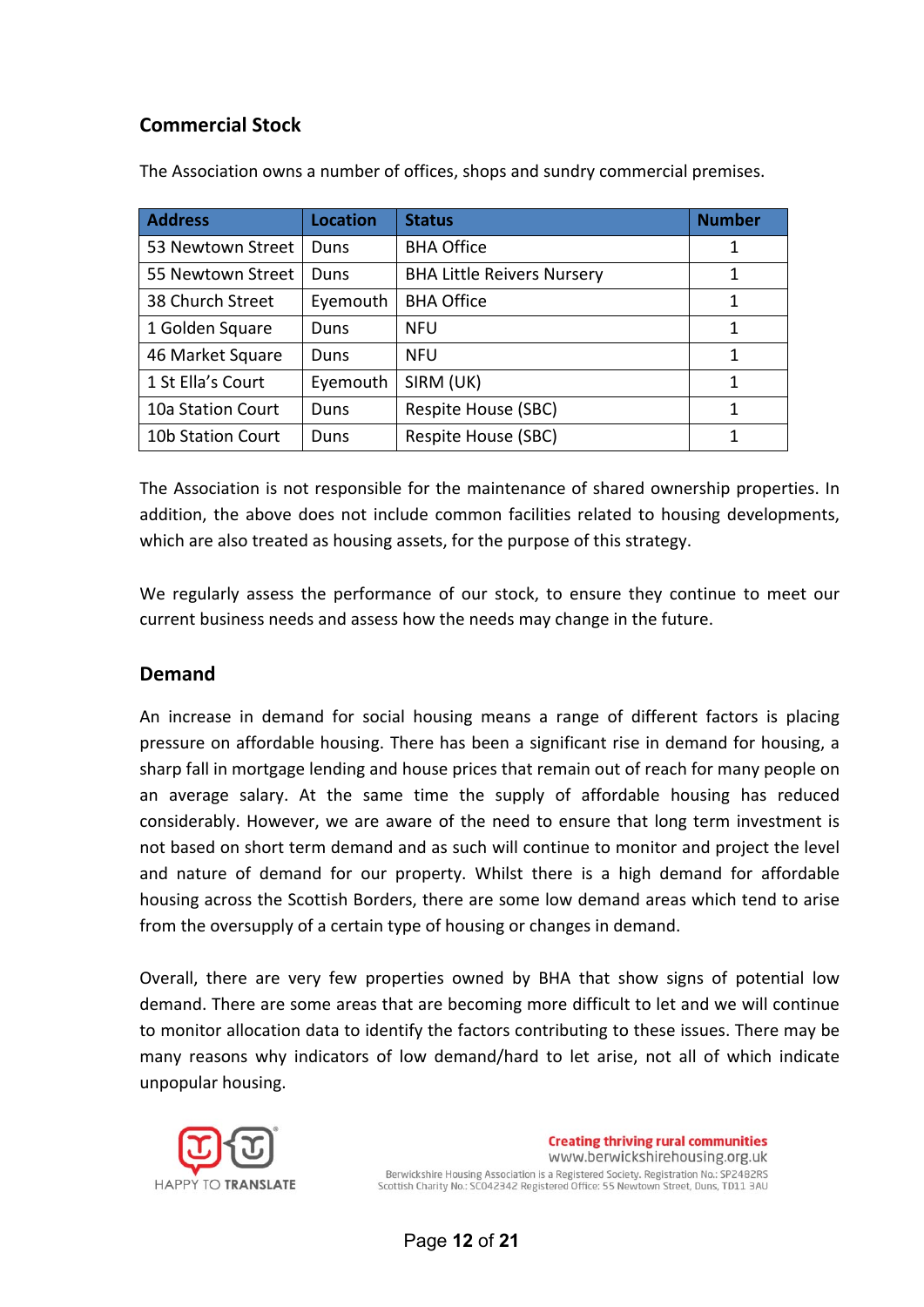# **Commercial Stock**

| <b>Address</b>    | Location | <b>Status</b>                     | <b>Number</b> |
|-------------------|----------|-----------------------------------|---------------|
| 53 Newtown Street | Duns     | <b>BHA Office</b>                 | 1             |
| 55 Newtown Street | Duns     | <b>BHA Little Reivers Nursery</b> | 1             |
| 38 Church Street  | Eyemouth | <b>BHA Office</b>                 |               |
| 1 Golden Square   | Duns     | NFU                               |               |
| 46 Market Square  | Duns     | <b>NFU</b>                        | 1             |
| 1 St Ella's Court | Eyemouth | SIRM (UK)                         | 1             |
| 10a Station Court | Duns     | Respite House (SBC)               | 1             |
| 10b Station Court | Duns     | Respite House (SBC)               |               |

The Association owns a number of offices, shops and sundry commercial premises.

The Association is not responsible for the maintenance of shared ownership properties. In addition, the above does not include common facilities related to housing developments, which are also treated as housing assets, for the purpose of this strategy.

We regularly assess the performance of our stock, to ensure they continue to meet our current business needs and assess how the needs may change in the future.

### **Demand**

An increase in demand for social housing means a range of different factors is placing pressure on affordable housing. There has been a significant rise in demand for housing, a sharp fall in mortgage lending and house prices that remain out of reach for many people on an average salary. At the same time the supply of affordable housing has reduced considerably. However, we are aware of the need to ensure that long term investment is not based on short term demand and as such will continue to monitor and project the level and nature of demand for our property. Whilst there is a high demand for affordable housing across the Scottish Borders, there are some low demand areas which tend to arise from the oversupply of a certain type of housing or changes in demand.

Overall, there are very few properties owned by BHA that show signs of potential low demand. There are some areas that are becoming more difficult to let and we will continue to monitor allocation data to identify the factors contributing to these issues. There may be many reasons why indicators of low demand/hard to let arise, not all of which indicate unpopular housing.



**Creating thriving rural communities** www.berwickshirehousing.org.uk Berwickshire Housing Association is a Registered Society, Registration No.: SP2482RS Scottish Charity No.: SC042342 Registered Office: 55 Newtown Street, Duns, TD11 3AU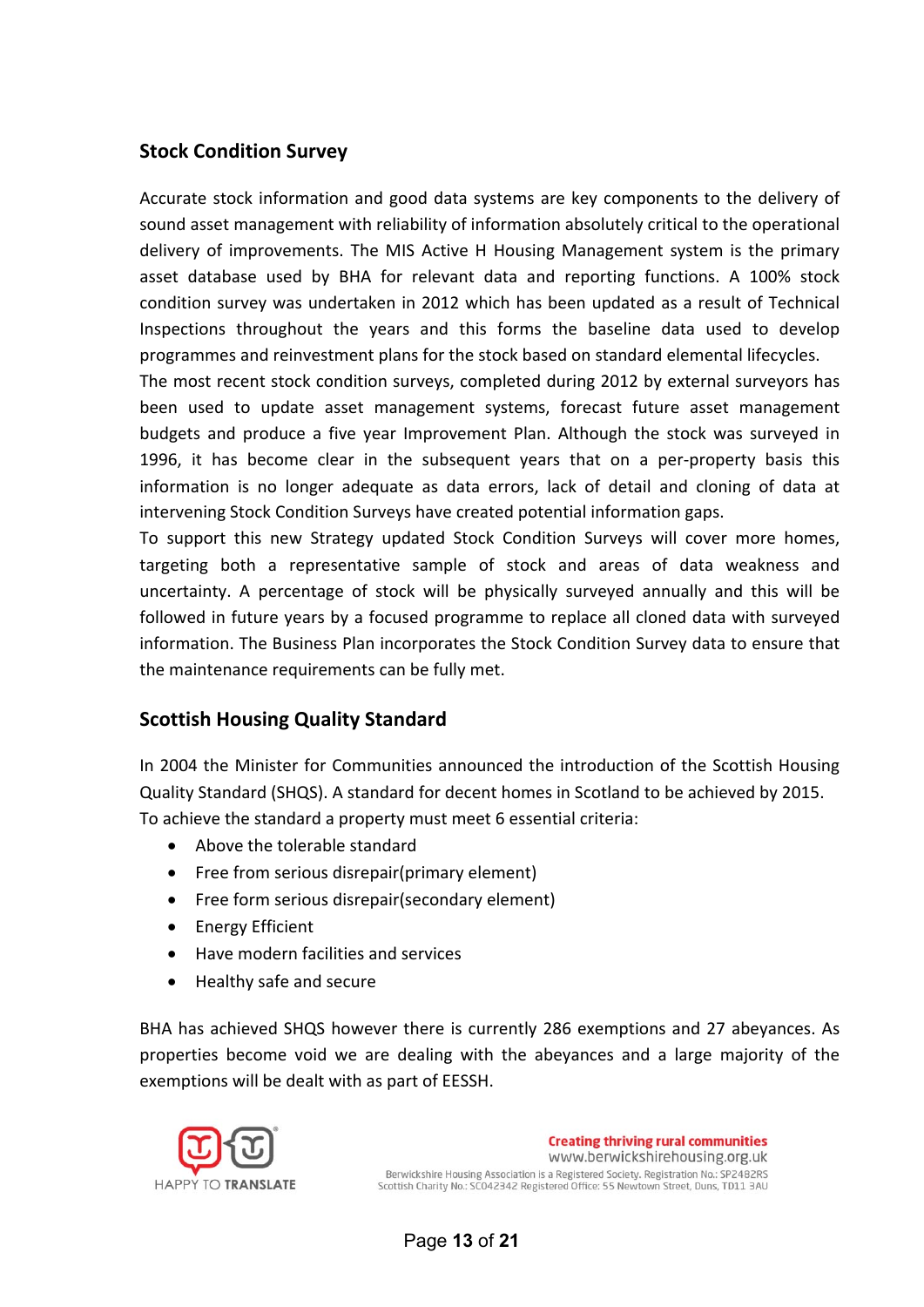# **Stock Condition Survey**

Accurate stock information and good data systems are key components to the delivery of sound asset management with reliability of information absolutely critical to the operational delivery of improvements. The MIS Active H Housing Management system is the primary asset database used by BHA for relevant data and reporting functions. A 100% stock condition survey was undertaken in 2012 which has been updated as a result of Technical Inspections throughout the years and this forms the baseline data used to develop programmes and reinvestment plans for the stock based on standard elemental lifecycles.

The most recent stock condition surveys, completed during 2012 by external surveyors has been used to update asset management systems, forecast future asset management budgets and produce a five year Improvement Plan. Although the stock was surveyed in 1996, it has become clear in the subsequent years that on a per-property basis this information is no longer adequate as data errors, lack of detail and cloning of data at intervening Stock Condition Surveys have created potential information gaps.

To support this new Strategy updated Stock Condition Surveys will cover more homes, targeting both a representative sample of stock and areas of data weakness and uncertainty. A percentage of stock will be physically surveyed annually and this will be followed in future years by a focused programme to replace all cloned data with surveyed information. The Business Plan incorporates the Stock Condition Survey data to ensure that the maintenance requirements can be fully met.

### **Scottish Housing Quality Standard**

In 2004 the Minister for Communities announced the introduction of the Scottish Housing Quality Standard (SHQS). A standard for decent homes in Scotland to be achieved by 2015. To achieve the standard a property must meet 6 essential criteria:

- Above the tolerable standard
- Free from serious disrepair(primary element)
- Free form serious disrepair(secondary element)
- **•** Energy Efficient
- Have modern facilities and services
- Healthy safe and secure

BHA has achieved SHQS however there is currently 286 exemptions and 27 abeyances. As properties become void we are dealing with the abeyances and a large majority of the exemptions will be dealt with as part of EESSH.



**Creating thriving rural communities** www.berwickshirehousing.org.uk Berwickshire Housing Association is a Registered Society, Registration No.: SP2482RS Scottish Charity No.: SC042342 Registered Office: 55 Newtown Street, Duns, TD11 3AU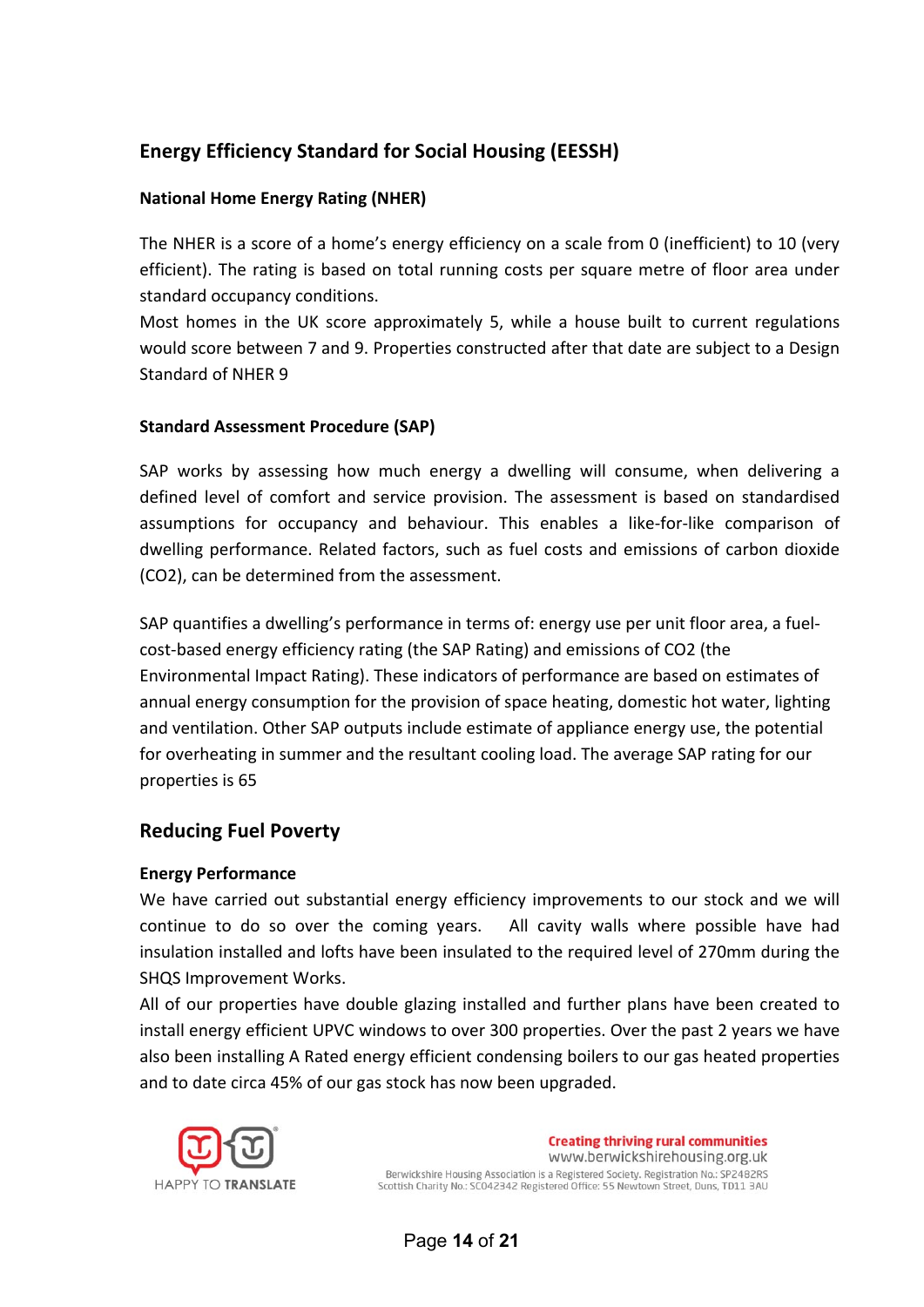# **Energy Efficiency Standard for Social Housing (EESSH)**

#### **National Home Energy Rating (NHER)**

The NHER is a score of a home's energy efficiency on a scale from 0 (inefficient) to 10 (very efficient). The rating is based on total running costs per square metre of floor area under standard occupancy conditions.

Most homes in the UK score approximately 5, while a house built to current regulations would score between 7 and 9. Properties constructed after that date are subject to a Design Standard of NHER 9

#### **Standard Assessment Procedure (SAP)**

SAP works by assessing how much energy a dwelling will consume, when delivering a defined level of comfort and service provision. The assessment is based on standardised assumptions for occupancy and behaviour. This enables a like-for-like comparison of dwelling performance. Related factors, such as fuel costs and emissions of carbon dioxide (CO2), can be determined from the assessment.

SAP quantifies a dwelling's performance in terms of: energy use per unit floor area, a fuel‐ cost‐based energy efficiency rating (the SAP Rating) and emissions of CO2 (the Environmental Impact Rating). These indicators of performance are based on estimates of annual energy consumption for the provision of space heating, domestic hot water, lighting and ventilation. Other SAP outputs include estimate of appliance energy use, the potential for overheating in summer and the resultant cooling load. The average SAP rating for our properties is 65

# **Reducing Fuel Poverty**

#### **Energy Performance**

We have carried out substantial energy efficiency improvements to our stock and we will continue to do so over the coming years. All cavity walls where possible have had insulation installed and lofts have been insulated to the required level of 270mm during the SHQS Improvement Works.

All of our properties have double glazing installed and further plans have been created to install energy efficient UPVC windows to over 300 properties. Over the past 2 years we have also been installing A Rated energy efficient condensing boilers to our gas heated properties and to date circa 45% of our gas stock has now been upgraded.



**Creating thriving rural communities** www.berwickshirehousing.org.uk Berwickshire Housing Association is a Registered Society, Registration No.: SP2482RS Scottish Charity No.: SC042342 Registered Office: 55 Newtown Street, Duns, TD11 3AU

Page **14** of **21**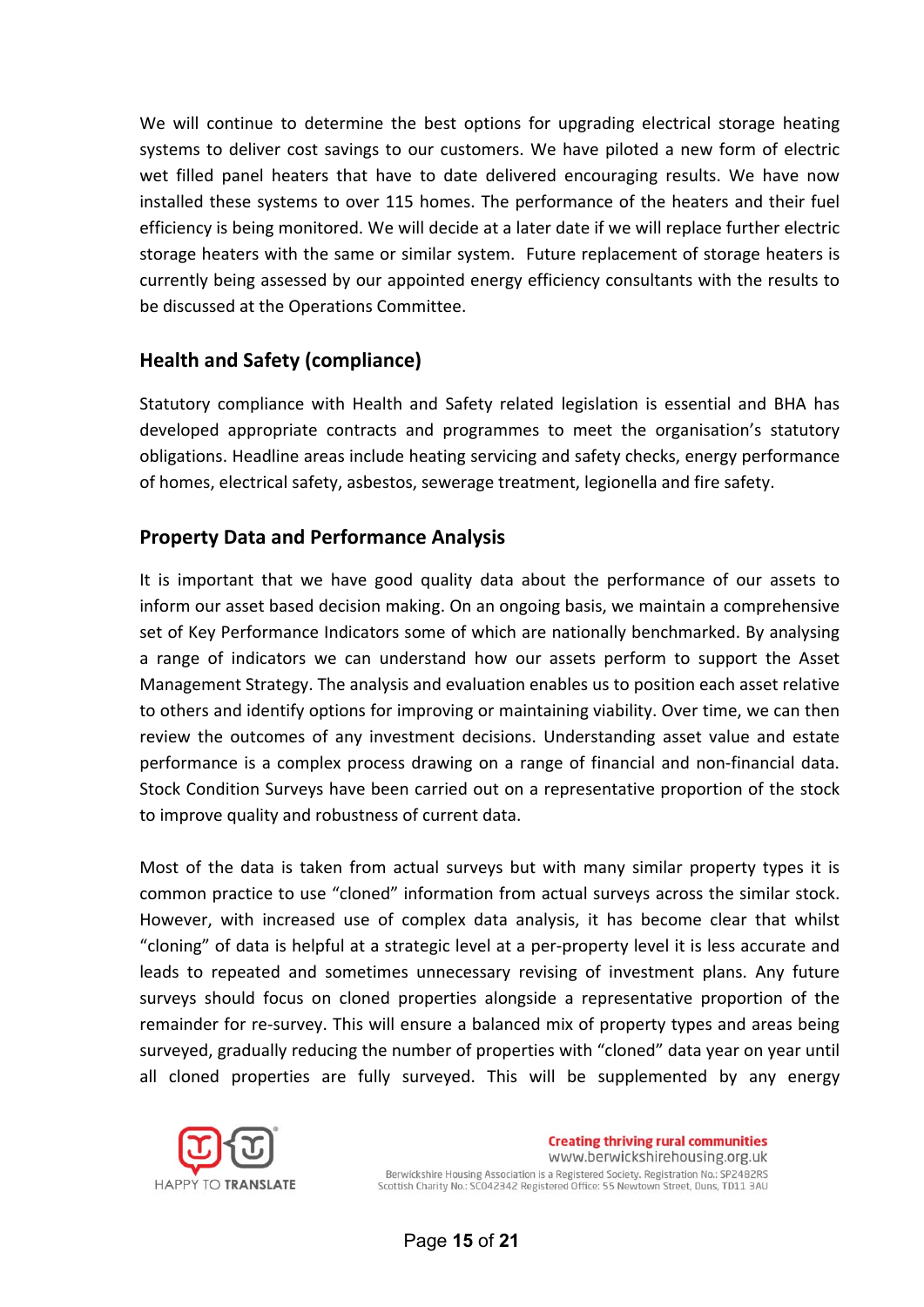We will continue to determine the best options for upgrading electrical storage heating systems to deliver cost savings to our customers. We have piloted a new form of electric wet filled panel heaters that have to date delivered encouraging results. We have now installed these systems to over 115 homes. The performance of the heaters and their fuel efficiency is being monitored. We will decide at a later date if we will replace further electric storage heaters with the same or similar system. Future replacement of storage heaters is currently being assessed by our appointed energy efficiency consultants with the results to be discussed at the Operations Committee.

# **Health and Safety (compliance)**

Statutory compliance with Health and Safety related legislation is essential and BHA has developed appropriate contracts and programmes to meet the organisation's statutory obligations. Headline areas include heating servicing and safety checks, energy performance of homes, electrical safety, asbestos, sewerage treatment, legionella and fire safety.

# **Property Data and Performance Analysis**

It is important that we have good quality data about the performance of our assets to inform our asset based decision making. On an ongoing basis, we maintain a comprehensive set of Key Performance Indicators some of which are nationally benchmarked. By analysing a range of indicators we can understand how our assets perform to support the Asset Management Strategy. The analysis and evaluation enables us to position each asset relative to others and identify options for improving or maintaining viability. Over time, we can then review the outcomes of any investment decisions. Understanding asset value and estate performance is a complex process drawing on a range of financial and non-financial data. Stock Condition Surveys have been carried out on a representative proportion of the stock to improve quality and robustness of current data.

Most of the data is taken from actual surveys but with many similar property types it is common practice to use "cloned" information from actual surveys across the similar stock. However, with increased use of complex data analysis, it has become clear that whilst "cloning" of data is helpful at a strategic level at a per‐property level it is less accurate and leads to repeated and sometimes unnecessary revising of investment plans. Any future surveys should focus on cloned properties alongside a representative proportion of the remainder for re-survey. This will ensure a balanced mix of property types and areas being surveyed, gradually reducing the number of properties with "cloned" data year on year until all cloned properties are fully surveyed. This will be supplemented by any energy



**Creating thriving rural communities** www.berwickshirehousing.org.uk Berwickshire Housing Association is a Registered Society, Registration No.: SP2482RS Scottish Charity No.: SC042342 Registered Office: 55 Newtown Street, Duns, TD11 3AU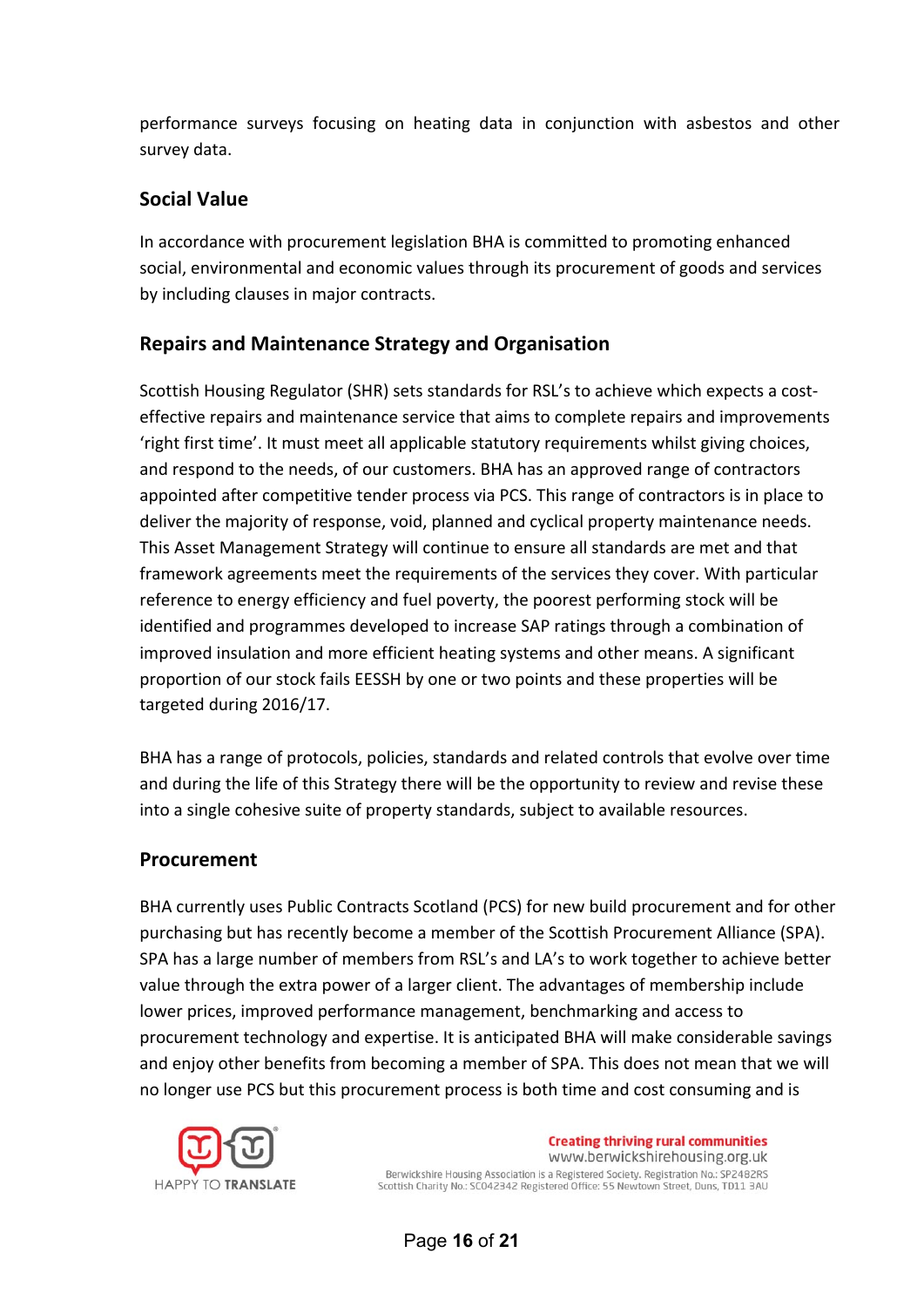performance surveys focusing on heating data in conjunction with asbestos and other survey data.

# **Social Value**

In accordance with procurement legislation BHA is committed to promoting enhanced social, environmental and economic values through its procurement of goods and services by including clauses in major contracts.

# **Repairs and Maintenance Strategy and Organisation**

Scottish Housing Regulator (SHR) sets standards for RSL's to achieve which expects a cost‐ effective repairs and maintenance service that aims to complete repairs and improvements 'right first time'. It must meet all applicable statutory requirements whilst giving choices, and respond to the needs, of our customers. BHA has an approved range of contractors appointed after competitive tender process via PCS. This range of contractors is in place to deliver the majority of response, void, planned and cyclical property maintenance needs. This Asset Management Strategy will continue to ensure all standards are met and that framework agreements meet the requirements of the services they cover. With particular reference to energy efficiency and fuel poverty, the poorest performing stock will be identified and programmes developed to increase SAP ratings through a combination of improved insulation and more efficient heating systems and other means. A significant proportion of our stock fails EESSH by one or two points and these properties will be targeted during 2016/17.

BHA has a range of protocols, policies, standards and related controls that evolve over time and during the life of this Strategy there will be the opportunity to review and revise these into a single cohesive suite of property standards, subject to available resources.

### **Procurement**

BHA currently uses Public Contracts Scotland (PCS) for new build procurement and for other purchasing but has recently become a member of the Scottish Procurement Alliance (SPA). SPA has a large number of members from RSL's and LA's to work together to achieve better value through the extra power of a larger client. The advantages of membership include lower prices, improved performance management, benchmarking and access to procurement technology and expertise. It is anticipated BHA will make considerable savings and enjoy other benefits from becoming a member of SPA. This does not mean that we will no longer use PCS but this procurement process is both time and cost consuming and is



**Creating thriving rural communities** www.berwickshirehousing.org.uk

Berwickshire Housing Association is a Registered Society, Registration No.: SP2482RS Scottish Charity No.: SC042342 Registered Office: 55 Newtown Street, Duns, TD11 3AU

Page **16** of **21**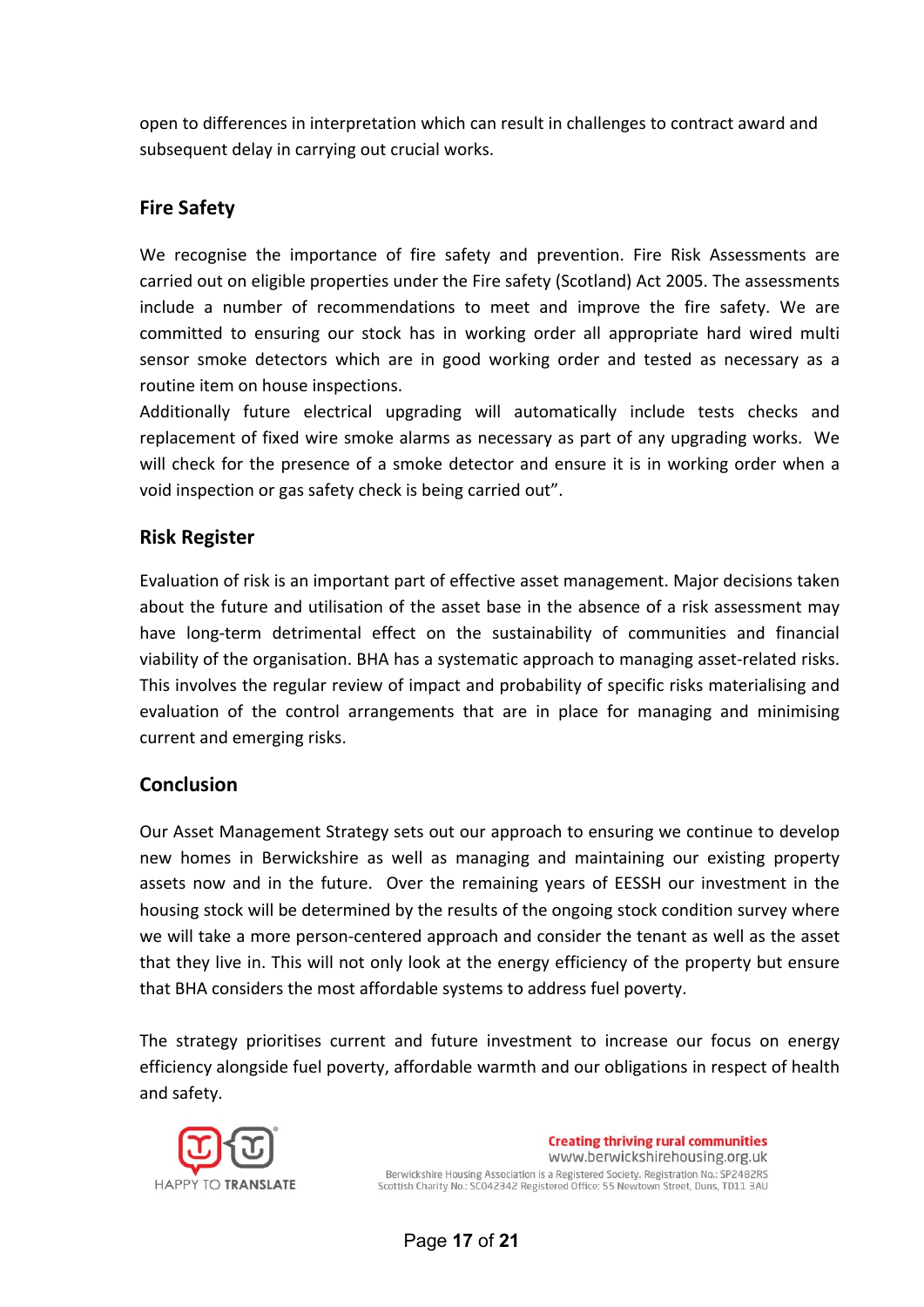open to differences in interpretation which can result in challenges to contract award and subsequent delay in carrying out crucial works.

# **Fire Safety**

We recognise the importance of fire safety and prevention. Fire Risk Assessments are carried out on eligible properties under the Fire safety (Scotland) Act 2005. The assessments include a number of recommendations to meet and improve the fire safety. We are committed to ensuring our stock has in working order all appropriate hard wired multi sensor smoke detectors which are in good working order and tested as necessary as a routine item on house inspections.

Additionally future electrical upgrading will automatically include tests checks and replacement of fixed wire smoke alarms as necessary as part of any upgrading works. We will check for the presence of a smoke detector and ensure it is in working order when a void inspection or gas safety check is being carried out".

# **Risk Register**

Evaluation of risk is an important part of effective asset management. Major decisions taken about the future and utilisation of the asset base in the absence of a risk assessment may have long-term detrimental effect on the sustainability of communities and financial viability of the organisation. BHA has a systematic approach to managing asset‐related risks. This involves the regular review of impact and probability of specific risks materialising and evaluation of the control arrangements that are in place for managing and minimising current and emerging risks.

### **Conclusion**

Our Asset Management Strategy sets out our approach to ensuring we continue to develop new homes in Berwickshire as well as managing and maintaining our existing property assets now and in the future. Over the remaining years of EESSH our investment in the housing stock will be determined by the results of the ongoing stock condition survey where we will take a more person-centered approach and consider the tenant as well as the asset that they live in. This will not only look at the energy efficiency of the property but ensure that BHA considers the most affordable systems to address fuel poverty.

The strategy prioritises current and future investment to increase our focus on energy efficiency alongside fuel poverty, affordable warmth and our obligations in respect of health and safety.



**Creating thriving rural communities** www.berwickshirehousing.org.uk Berwickshire Housing Association is a Registered Society, Registration No.: SP2482RS Scottish Charity No.: SCO42342 Registered Office: 55 Newtown Street, Duns, TD11 3AU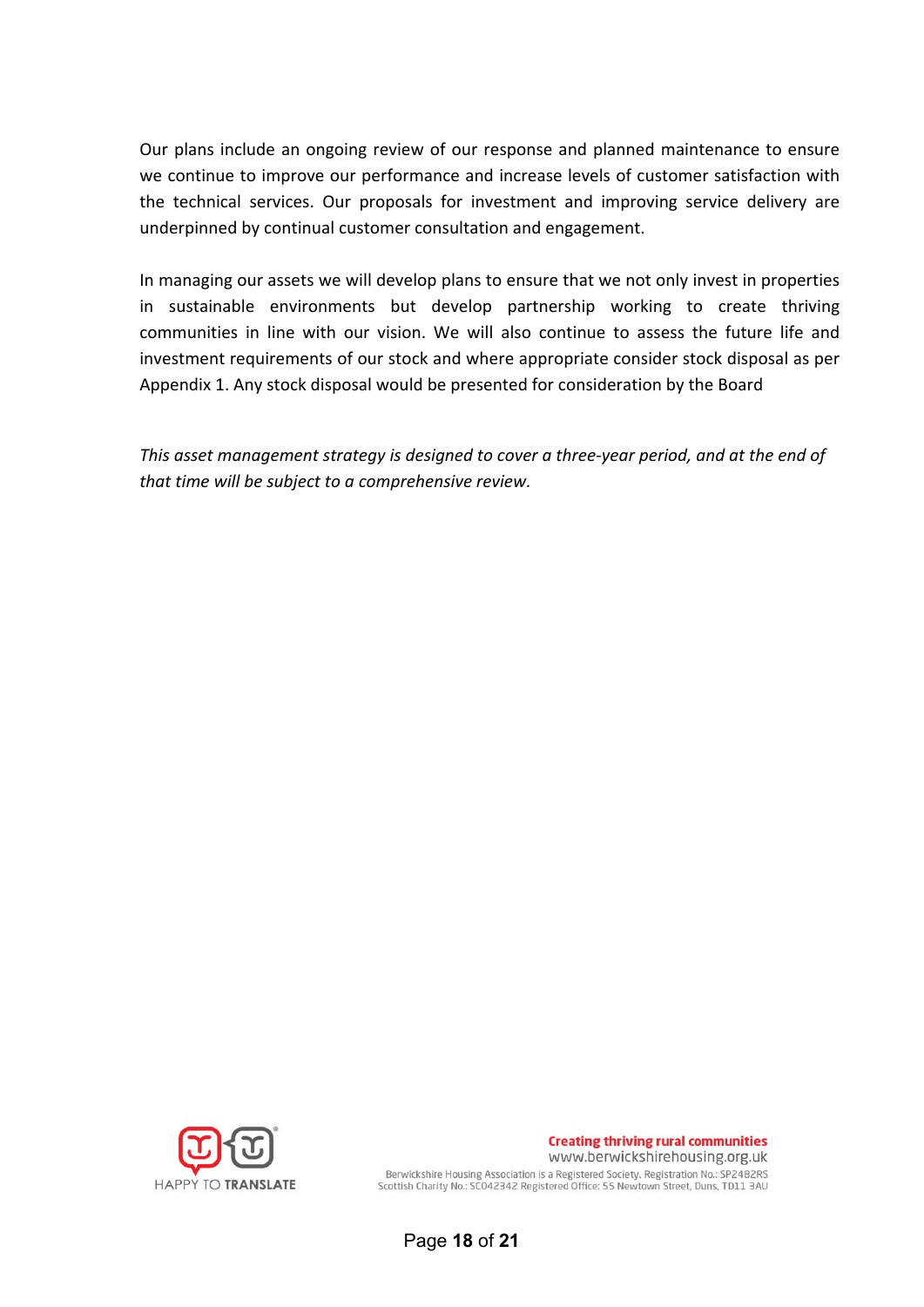Our plans include an ongoing review of our response and planned maintenance to ensure we continue to improve our performance and increase levels of customer satisfaction with the technical services. Our proposals for investment and improving service delivery are underpinned by continual customer consultation and engagement.

In managing our assets we will develop plans to ensure that we not only invest in properties in sustainable environments but develop partnership working to create thriving communities in line with our vision. We will also continue to assess the future life and investment requirements of our stock and where appropriate consider stock disposal as per Appendix 1. Any stock disposal would be presented for consideration by the Board

*This asset management strategy is designed to cover a three‐year period, and at the end of that time will be subject to a comprehensive review.* 



**Creating thriving rural communities** www.berwickshirehousing.org.uk Berwickshire Housing Association is a Registered Society, Registration No.: SP2482RS Scottish Charity No.: SCO42342 Registered Office: 55 Newtown Street, Duns, TD11 3AU

Page **18** of **21**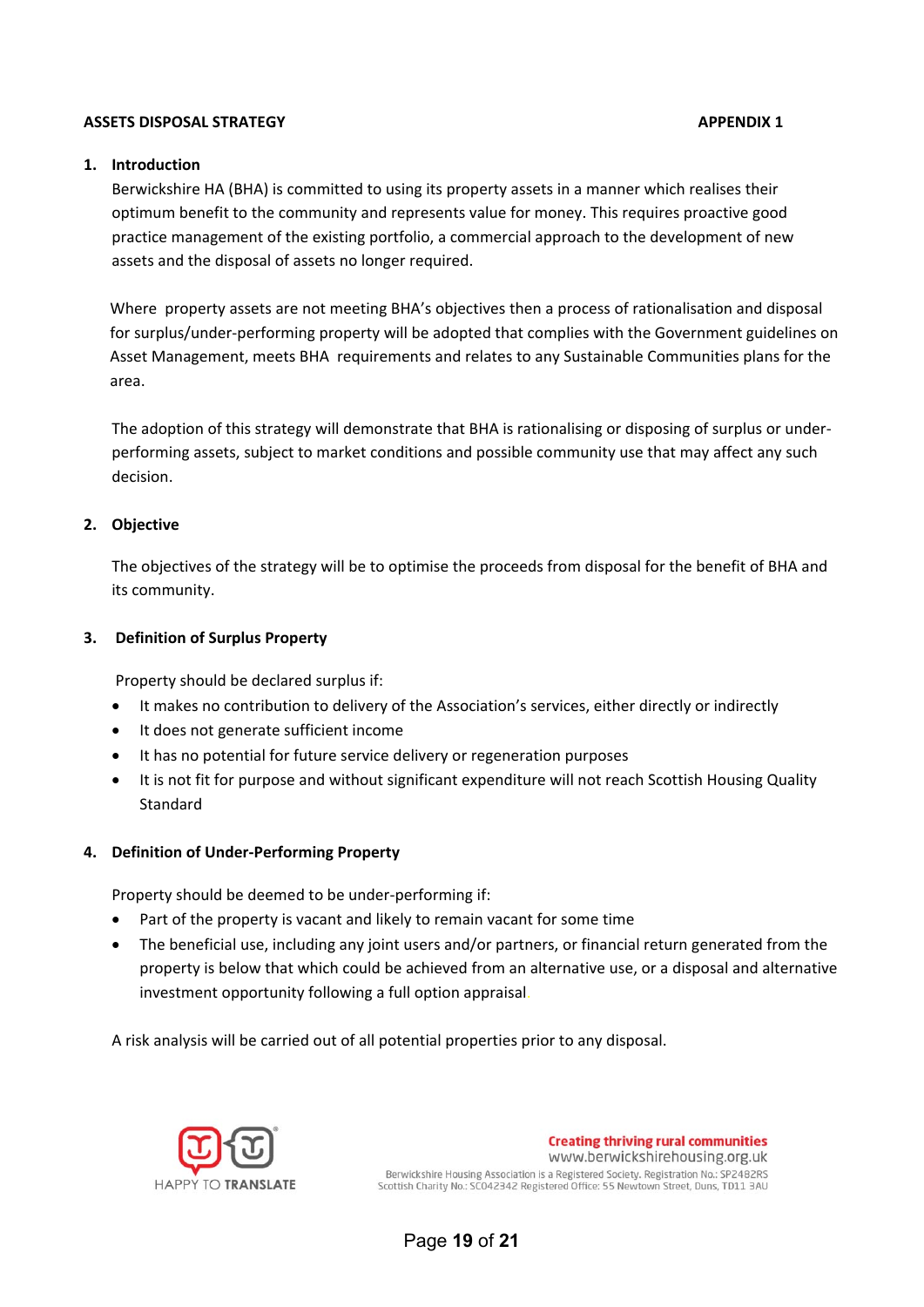#### **ASSETS DISPOSAL STRATEGY APPENDIX 1**

#### **1. Introduction**

Berwickshire HA (BHA) is committed to using its property assets in a manner which realises their optimum benefit to the community and represents value for money. This requires proactive good practice management of the existing portfolio, a commercial approach to the development of new assets and the disposal of assets no longer required.

Where property assets are not meeting BHA's objectives then a process of rationalisation and disposal for surplus/under‐performing property will be adopted that complies with the Government guidelines on Asset Management, meets BHA requirements and relates to any Sustainable Communities plans for the area.

The adoption of this strategy will demonstrate that BHA is rationalising or disposing of surplus or under‐ performing assets, subject to market conditions and possible community use that may affect any such decision.

#### **2. Objective**

The objectives of the strategy will be to optimise the proceeds from disposal for the benefit of BHA and its community.

#### **3. Definition of Surplus Property**

Property should be declared surplus if:

- It makes no contribution to delivery of the Association's services, either directly or indirectly
- It does not generate sufficient income
- It has no potential for future service delivery or regeneration purposes
- It is not fit for purpose and without significant expenditure will not reach Scottish Housing Quality Standard

#### **4. Definition of Under‐Performing Property**

Property should be deemed to be under‐performing if:

- Part of the property is vacant and likely to remain vacant for some time
- The beneficial use, including any joint users and/or partners, or financial return generated from the property is below that which could be achieved from an alternative use, or a disposal and alternative investment opportunity following a full option appraisal.

A risk analysis will be carried out of all potential properties prior to any disposal.



**Creating thriving rural communities** www.berwickshirehousing.org.uk Berwickshire Housing Association is a Registered Society, Registration No.: SP2482RS Scottish Charity No.: SCO42342 Registered Office: 55 Newtown Street, Duns, TD11 3AU

Page **19** of **21**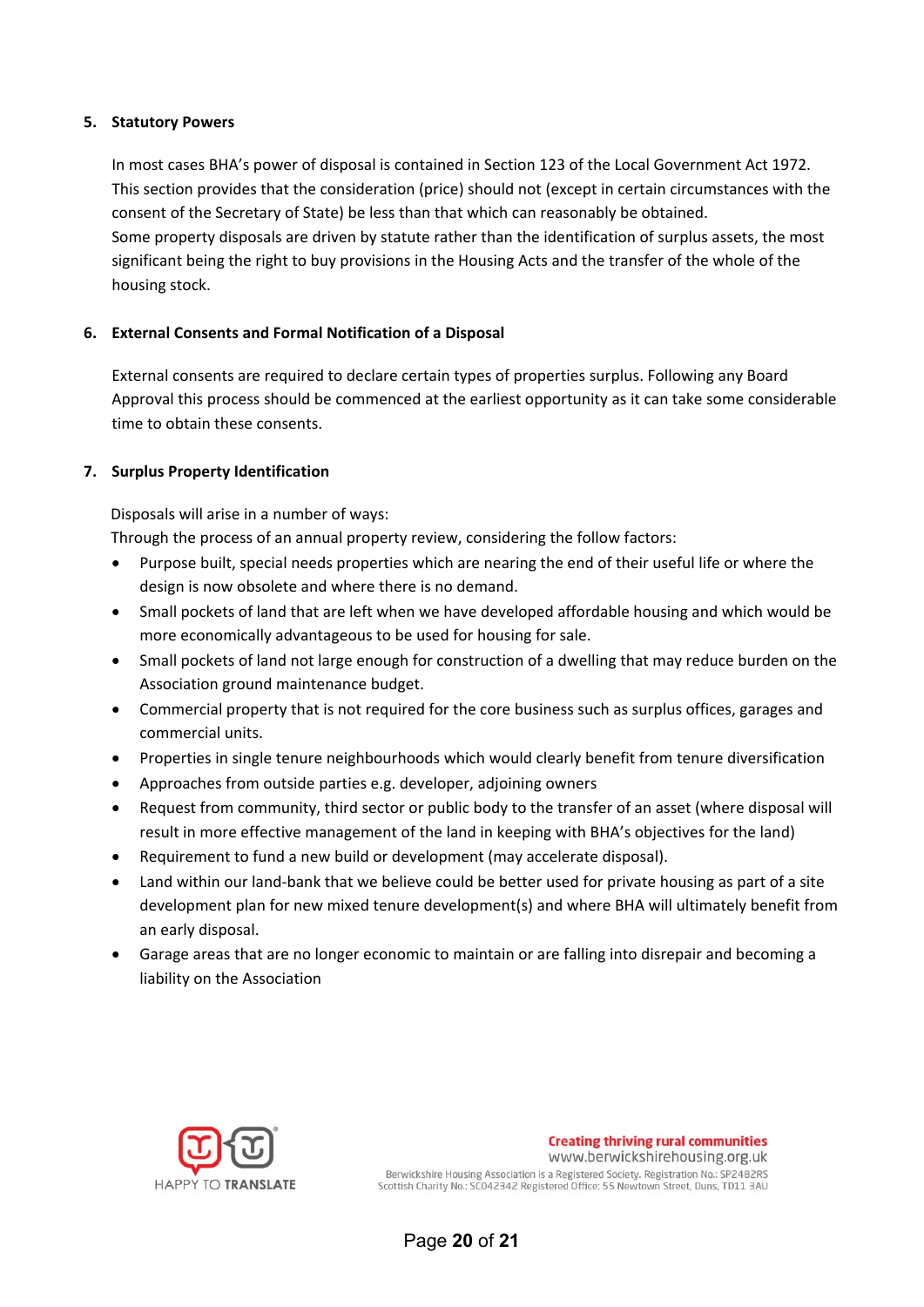#### **5. Statutory Powers**

In most cases BHA's power of disposal is contained in Section 123 of the Local Government Act 1972. This section provides that the consideration (price) should not (except in certain circumstances with the consent of the Secretary of State) be less than that which can reasonably be obtained. Some property disposals are driven by statute rather than the identification of surplus assets, the most significant being the right to buy provisions in the Housing Acts and the transfer of the whole of the housing stock.

#### **6. External Consents and Formal Notification of a Disposal**

External consents are required to declare certain types of properties surplus. Following any Board Approval this process should be commenced at the earliest opportunity as it can take some considerable time to obtain these consents.

#### **7. Surplus Property Identification**

Disposals will arise in a number of ways:

Through the process of an annual property review, considering the follow factors:

- Purpose built, special needs properties which are nearing the end of their useful life or where the design is now obsolete and where there is no demand.
- Small pockets of land that are left when we have developed affordable housing and which would be more economically advantageous to be used for housing for sale.
- Small pockets of land not large enough for construction of a dwelling that may reduce burden on the Association ground maintenance budget.
- Commercial property that is not required for the core business such as surplus offices, garages and commercial units.
- Properties in single tenure neighbourhoods which would clearly benefit from tenure diversification
- Approaches from outside parties e.g. developer, adjoining owners
- Request from community, third sector or public body to the transfer of an asset (where disposal will result in more effective management of the land in keeping with BHA's objectives for the land)
- Requirement to fund a new build or development (may accelerate disposal).
- Land within our land-bank that we believe could be better used for private housing as part of a site development plan for new mixed tenure development(s) and where BHA will ultimately benefit from an early disposal.
- Garage areas that are no longer economic to maintain or are falling into disrepair and becoming a liability on the Association



#### **Creating thriving rural communities** www.berwickshirehousing.org.uk Berwickshire Housing Association is a Registered Society, Registration No.: SP2482RS Scottish Charity No.: SC042342 Registered Office: 55 Newtown Street, Duns, TD11 3AU

Page **20** of **21**